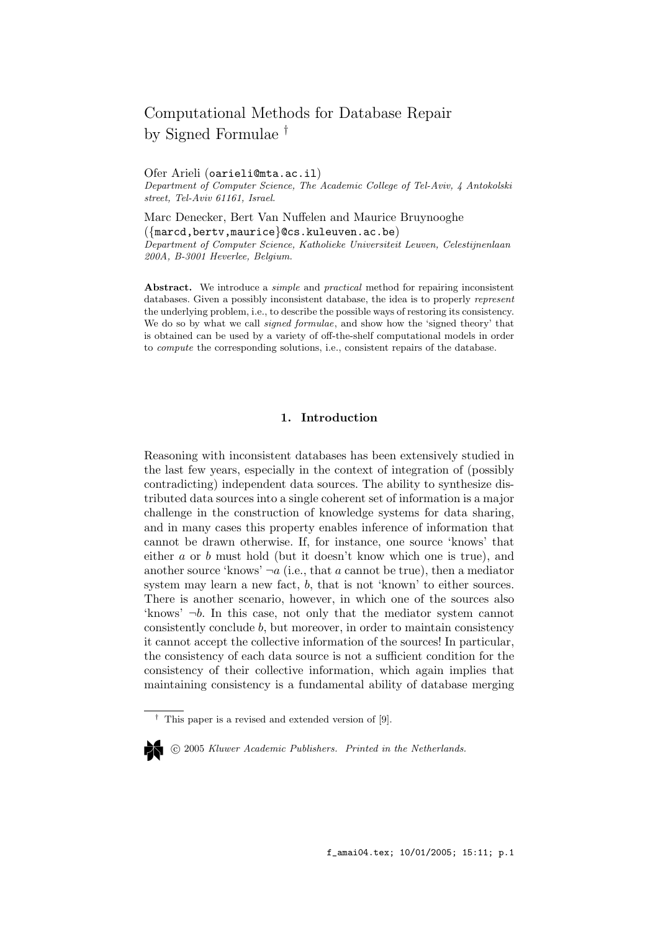# Computational Methods for Database Repair by Signed Formulae †

#### Ofer Arieli (oarieli@mta.ac.il)

Department of Computer Science, The Academic College of Tel-Aviv, 4 Antokolski street, Tel-Aviv 61161, Israel.

Marc Denecker, Bert Van Nuffelen and Maurice Bruynooghe ({marcd,bertv,maurice}@cs.kuleuven.ac.be) Department of Computer Science, Katholieke Universiteit Leuven, Celestijnenlaan 200A, B-3001 Heverlee, Belgium.

Abstract. We introduce a *simple* and *practical* method for repairing inconsistent databases. Given a possibly inconsistent database, the idea is to properly represent the underlying problem, i.e., to describe the possible ways of restoring its consistency. We do so by what we call *signed formulae*, and show how the 'signed theory' that is obtained can be used by a variety of off-the-shelf computational models in order to compute the corresponding solutions, i.e., consistent repairs of the database.

## 1. Introduction

Reasoning with inconsistent databases has been extensively studied in the last few years, especially in the context of integration of (possibly contradicting) independent data sources. The ability to synthesize distributed data sources into a single coherent set of information is a major challenge in the construction of knowledge systems for data sharing, and in many cases this property enables inference of information that cannot be drawn otherwise. If, for instance, one source 'knows' that either a or b must hold (but it doesn't know which one is true), and another source 'knows'  $\neg a$  (i.e., that a cannot be true), then a mediator system may learn a new fact, b, that is not 'known' to either sources. There is another scenario, however, in which one of the sources also 'knows' ¬b. In this case, not only that the mediator system cannot consistently conclude b, but moreover, in order to maintain consistency it cannot accept the collective information of the sources! In particular, the consistency of each data source is not a sufficient condition for the consistency of their collective information, which again implies that maintaining consistency is a fundamental ability of database merging

c 2005 Kluwer Academic Publishers. Printed in the Netherlands.

<sup>†</sup> This paper is a revised and extended version of [9].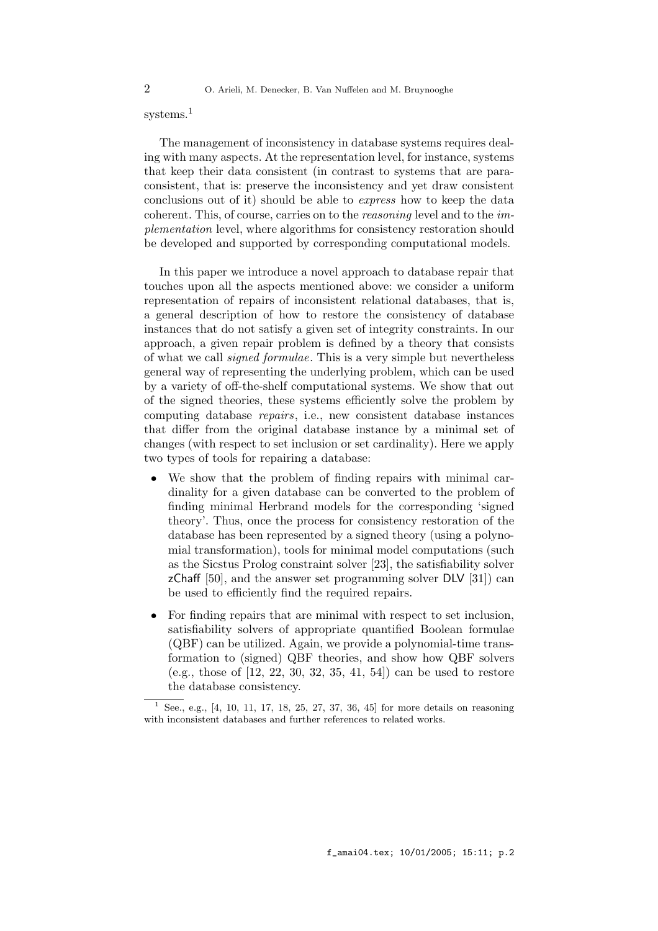## systems.<sup>1</sup>

The management of inconsistency in database systems requires dealing with many aspects. At the representation level, for instance, systems that keep their data consistent (in contrast to systems that are paraconsistent, that is: preserve the inconsistency and yet draw consistent conclusions out of it) should be able to express how to keep the data coherent. This, of course, carries on to the reasoning level and to the implementation level, where algorithms for consistency restoration should be developed and supported by corresponding computational models.

In this paper we introduce a novel approach to database repair that touches upon all the aspects mentioned above: we consider a uniform representation of repairs of inconsistent relational databases, that is, a general description of how to restore the consistency of database instances that do not satisfy a given set of integrity constraints. In our approach, a given repair problem is defined by a theory that consists of what we call signed formulae. This is a very simple but nevertheless general way of representing the underlying problem, which can be used by a variety of off-the-shelf computational systems. We show that out of the signed theories, these systems efficiently solve the problem by computing database repairs, i.e., new consistent database instances that differ from the original database instance by a minimal set of changes (with respect to set inclusion or set cardinality). Here we apply two types of tools for repairing a database:

- We show that the problem of finding repairs with minimal cardinality for a given database can be converted to the problem of finding minimal Herbrand models for the corresponding 'signed theory'. Thus, once the process for consistency restoration of the database has been represented by a signed theory (using a polynomial transformation), tools for minimal model computations (such as the Sicstus Prolog constraint solver [23], the satisfiability solver  $zChaff [50]$ , and the answer set programming solver DLV [31]) can be used to efficiently find the required repairs.
- For finding repairs that are minimal with respect to set inclusion, satisfiability solvers of appropriate quantified Boolean formulae (QBF) can be utilized. Again, we provide a polynomial-time transformation to (signed) QBF theories, and show how QBF solvers (e.g., those of [12, 22, 30, 32, 35, 41, 54]) can be used to restore the database consistency.

See., e.g., [4, 10, 11, 17, 18, 25, 27, 37, 36, 45] for more details on reasoning with inconsistent databases and further references to related works.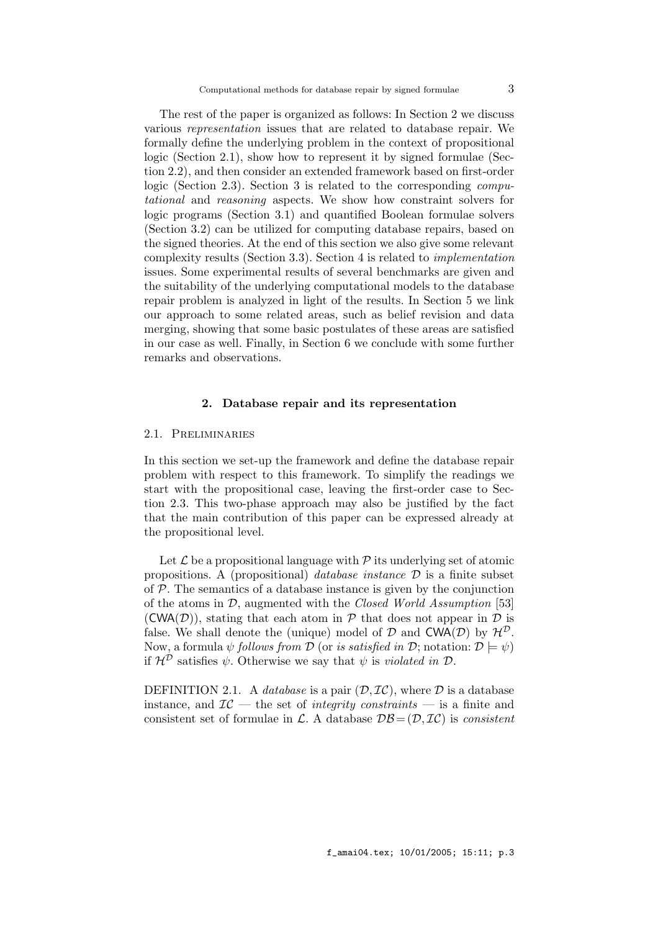The rest of the paper is organized as follows: In Section 2 we discuss various representation issues that are related to database repair. We formally define the underlying problem in the context of propositional logic (Section 2.1), show how to represent it by signed formulae (Section 2.2), and then consider an extended framework based on first-order logic (Section 2.3). Section 3 is related to the corresponding *compu*tational and reasoning aspects. We show how constraint solvers for logic programs (Section 3.1) and quantified Boolean formulae solvers (Section 3.2) can be utilized for computing database repairs, based on the signed theories. At the end of this section we also give some relevant complexity results (Section 3.3). Section 4 is related to implementation issues. Some experimental results of several benchmarks are given and the suitability of the underlying computational models to the database repair problem is analyzed in light of the results. In Section 5 we link our approach to some related areas, such as belief revision and data merging, showing that some basic postulates of these areas are satisfied in our case as well. Finally, in Section 6 we conclude with some further remarks and observations.

## 2. Database repair and its representation

## 2.1. Preliminaries

In this section we set-up the framework and define the database repair problem with respect to this framework. To simplify the readings we start with the propositional case, leaving the first-order case to Section 2.3. This two-phase approach may also be justified by the fact that the main contribution of this paper can be expressed already at the propositional level.

Let  $\mathcal L$  be a propositional language with  $\mathcal P$  its underlying set of atomic propositions. A (propositional) database instance  $\mathcal D$  is a finite subset of  $P$ . The semantics of a database instance is given by the conjunction of the atoms in  $\mathcal{D}$ , augmented with the *Closed World Assumption* [53]  $(CWA(\mathcal{D}))$ , stating that each atom in  $\mathcal P$  that does not appear in  $\mathcal D$  is false. We shall denote the (unique) model of  $D$  and  $\mathsf{CWA}(\mathcal{D})$  by  $\mathcal{H}^{\mathcal{D}}$ . Now, a formula  $\psi$  follows from  $\mathcal D$  (or is satisfied in  $\mathcal D$ ; notation:  $\mathcal D \models \psi$ ) if  $\mathcal{H}^{\mathcal{D}}$  satisfies  $\psi$ . Otherwise we say that  $\psi$  is *violated in*  $\mathcal{D}$ .

DEFINITION 2.1. A *database* is a pair  $(D, \mathcal{IC})$ , where  $D$  is a database instance, and  $IC$  — the set of *integrity constraints* — is a finite and consistent set of formulae in L. A database  $\mathcal{DB} = (\mathcal{D}, \mathcal{IC})$  is consistent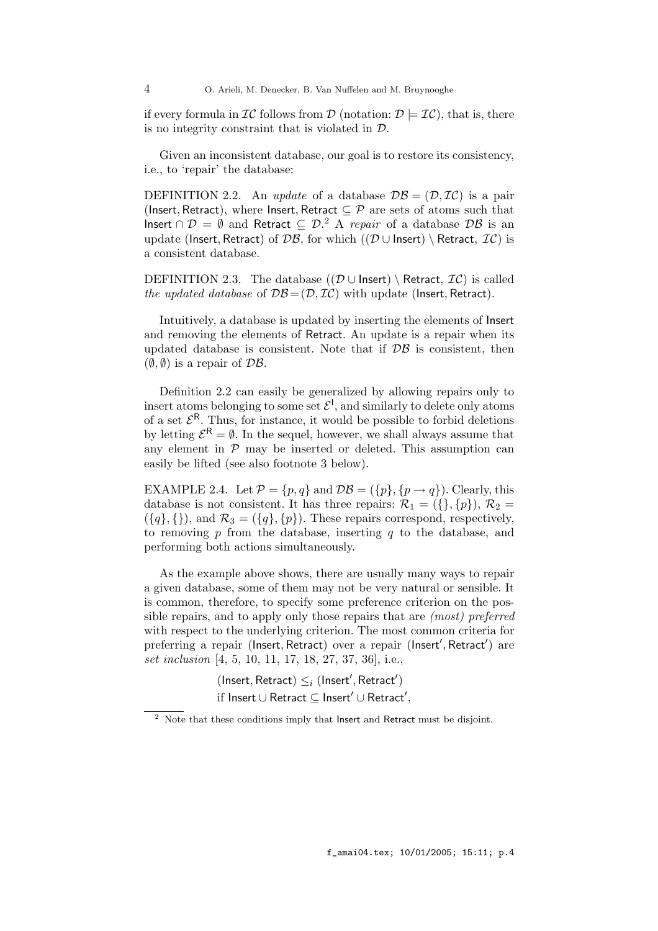if every formula in  $\mathcal{IC}$  follows from  $\mathcal D$  (notation:  $\mathcal D \models \mathcal{IC}$ ), that is, there is no integrity constraint that is violated in D.

Given an inconsistent database, our goal is to restore its consistency, i.e., to 'repair' the database:

DEFINITION 2.2. An update of a database  $\mathcal{DB} = (\mathcal{D}, \mathcal{IC})$  is a pair (Insert, Retract), where Insert, Retract  $\subseteq \mathcal{P}$  are sets of atoms such that Insert ∩  $\mathcal{D} = \emptyset$  and Retract  $\subseteq \mathcal{D}^2$ . A *repair* of a database  $\mathcal{D}\mathcal{B}$  is an update (Insert, Retract) of DB, for which ((D ∪ Insert) \ Retract,  $\mathcal{IC}$ ) is a consistent database.

DEFINITION 2.3. The database  $((\mathcal{D} \cup \text{Insert}) \setminus \text{Retract}, \mathcal{IC})$  is called the updated database of  $\mathcal{DB} = (\mathcal{D}, \mathcal{IC})$  with update (Insert, Retract).

Intuitively, a database is updated by inserting the elements of Insert and removing the elements of Retract. An update is a repair when its updated database is consistent. Note that if  $\mathcal{DB}$  is consistent, then  $(\emptyset, \emptyset)$  is a repair of  $\mathcal{DB}$ .

Definition 2.2 can easily be generalized by allowing repairs only to insert atoms belonging to some set  $\mathcal{E}^1$ , and similarly to delete only atoms of a set  $\mathcal{E}^R$ . Thus, for instance, it would be possible to forbid deletions by letting  $\mathcal{E}^{\mathsf{R}} = \emptyset$ . In the sequel, however, we shall always assume that any element in  $P$  may be inserted or deleted. This assumption can easily be lifted (see also footnote 3 below).

EXAMPLE 2.4. Let  $\mathcal{P} = \{p, q\}$  and  $\mathcal{DB} = (\{p\}, \{p \rightarrow q\})$ . Clearly, this database is not consistent. It has three repairs:  $\mathcal{R}_1 = (\{\}, \{p\}), \mathcal{R}_2 =$  $({q}, {l})$ , and  $\mathcal{R}_3 = ({q}, {p})$ . These repairs correspond, respectively, to removing  $p$  from the database, inserting  $q$  to the database, and performing both actions simultaneously.

As the example above shows, there are usually many ways to repair a given database, some of them may not be very natural or sensible. It is common, therefore, to specify some preference criterion on the possible repairs, and to apply only those repairs that are (most) preferred with respect to the underlying criterion. The most common criteria for preferring a repair (Insert, Retract) over a repair (Insert', Retract') are set inclusion [4, 5, 10, 11, 17, 18, 27, 37, 36], i.e.,

> $(\mathsf{Insert}, \mathsf{Retract}) \leq_i (\mathsf{Insert}', \mathsf{Retract}')$ if Insert  $\cup$  Retract  $\subseteq$  Insert $'$   $\cup$  Retract $',$

 $2$  Note that these conditions imply that Insert and Retract must be disjoint.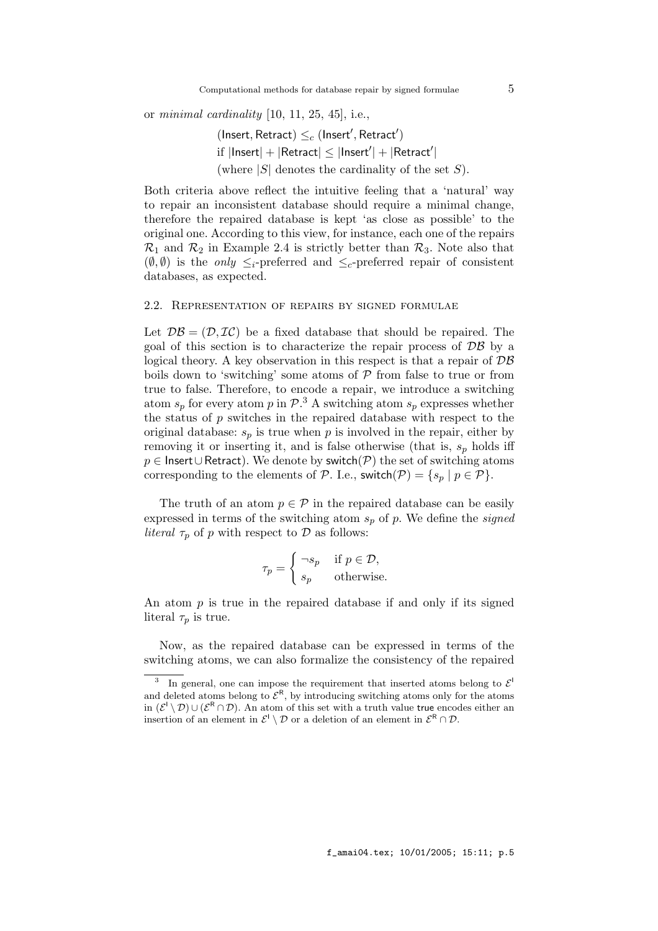or minimal cardinality  $[10, 11, 25, 45]$ , i.e.,

 $(\mathsf{Insert}, \mathsf{Retract}) \leq_c (\mathsf{Insert}', \mathsf{Retract}')$ 

 $\text{if } |\textsf{Insert}| + |\textsf{Retract}| \leq |\textsf{Insert}'| + |\textsf{Retract}'|$ 

(where  $|S|$  denotes the cardinality of the set S).

Both criteria above reflect the intuitive feeling that a 'natural' way to repair an inconsistent database should require a minimal change, therefore the repaired database is kept 'as close as possible' to the original one. According to this view, for instance, each one of the repairs  $\mathcal{R}_1$  and  $\mathcal{R}_2$  in Example 2.4 is strictly better than  $\mathcal{R}_3$ . Note also that  $(\emptyset, \emptyset)$  is the *only*  $\leq_i$ -preferred and  $\leq_c$ -preferred repair of consistent databases, as expected.

#### 2.2. Representation of repairs by signed formulae

Let  $\mathcal{DB} = (\mathcal{D}, \mathcal{IC})$  be a fixed database that should be repaired. The goal of this section is to characterize the repair process of  $\mathcal{DB}$  by a logical theory. A key observation in this respect is that a repair of  $\mathcal{DB}$ boils down to 'switching' some atoms of  $P$  from false to true or from true to false. Therefore, to encode a repair, we introduce a switching atom  $s_p$  for every atom p in  $\mathcal{P}$ .<sup>3</sup> A switching atom  $s_p$  expresses whether the status of  $p$  switches in the repaired database with respect to the original database:  $s_p$  is true when p is involved in the repair, either by removing it or inserting it, and is false otherwise (that is,  $s_p$  holds iff  $p \in$  Insert∪Retract). We denote by switch( $P$ ) the set of switching atoms corresponding to the elements of P. I.e., switch(P) = { $s_p | p \in \mathcal{P}$  }.

The truth of an atom  $p \in \mathcal{P}$  in the repaired database can be easily expressed in terms of the switching atom  $s_p$  of p. We define the *signed literal*  $\tau_p$  of p with respect to D as follows:

$$
\tau_p = \begin{cases}\n\neg s_p & \text{if } p \in \mathcal{D}, \\
s_p & \text{otherwise.} \n\end{cases}
$$

An atom  $p$  is true in the repaired database if and only if its signed literal  $\tau_p$  is true.

Now, as the repaired database can be expressed in terms of the switching atoms, we can also formalize the consistency of the repaired

<sup>3</sup> In general, one can impose the requirement that inserted atoms belong to  $\mathcal{E}^{\dagger}$ and deleted atoms belong to  $\mathcal{E}^R$ , by introducing switching atoms only for the atoms in  $(\mathcal{E}^{\mathsf{I}} \setminus \mathcal{D}) \cup (\mathcal{E}^{\mathsf{R}} \cap \mathcal{D})$ . An atom of this set with a truth value true encodes either an insertion of an element in  $\mathcal{E}^{\mathsf{l}} \setminus \mathcal{D}$  or a deletion of an element in  $\mathcal{E}^{\mathsf{R}} \cap \mathcal{D}$ .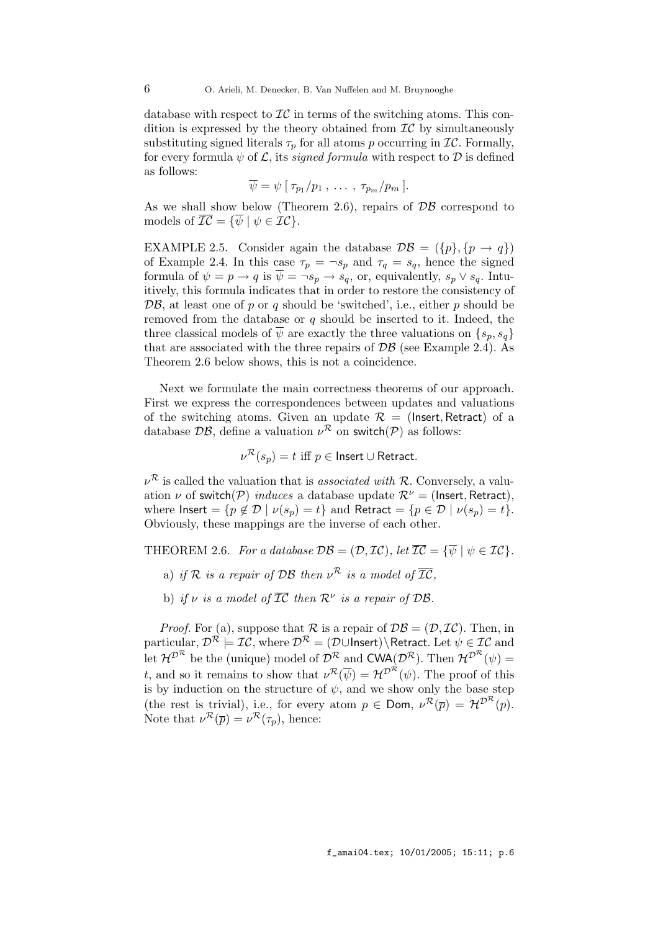database with respect to  $\mathcal{IC}$  in terms of the switching atoms. This condition is expressed by the theory obtained from  $\mathcal{IC}$  by simultaneously substituting signed literals  $\tau_p$  for all atoms p occurring in  $IC$ . Formally, for every formula  $\psi$  of  $\mathcal{L}$ , its *signed formula* with respect to  $\mathcal{D}$  is defined as follows:

$$
\overline{\psi} = \psi \left[ \tau_{p_1}/p_1, \ldots, \tau_{p_m}/p_m \right].
$$

As we shall show below (Theorem 2.6), repairs of  $\mathcal{DB}$  correspond to models of  $\overline{\mathcal{IC}} = {\overline{\psi} \mid \psi \in \mathcal{IC}}$ .

EXAMPLE 2.5. Consider again the database  $\mathcal{DB} = (\{p\}, \{p \rightarrow q\})$ of Example 2.4. In this case  $\tau_p = \neg s_p$  and  $\tau_q = s_q$ , hence the signed formula of  $\psi = p \to q$  is  $\overline{\psi} = \neg s_p \to s_q$ , or, equivalently,  $s_p \vee s_q$ . Intuitively, this formula indicates that in order to restore the consistency of  $\mathcal{DB}$ , at least one of p or q should be 'switched', i.e., either p should be removed from the database or  $q$  should be inserted to it. Indeed, the three classical models of  $\overline{\psi}$  are exactly the three valuations on  $\{s_n, s_n\}$ that are associated with the three repairs of  $\mathcal{DB}$  (see Example 2.4). As Theorem 2.6 below shows, this is not a coincidence.

Next we formulate the main correctness theorems of our approach. First we express the correspondences between updates and valuations of the switching atoms. Given an update  $\mathcal{R} =$  (lnsert, Retract) of a database  $\mathcal{DB}$ , define a valuation  $\nu^{\mathcal{R}}$  on switch( $\mathcal{P}$ ) as follows:

 $\nu^{\mathcal{R}}(s_p)=t\,\,\text{iff}\,\,p\in\textsf{Insert}\cup\textsf{Retract}.$ 

 $\nu^{\mathcal{R}}$  is called the valuation that is *associated with*  $\mathcal{R}$ . Conversely, a valuation  $\nu$  of switch(P) induces a database update  $\mathcal{R}^{\nu}$  = (Insert, Retract), where  $\textsf{Insert} = \{p \notin \mathcal{D} \mid \nu(s_p) = t\}$  and  $\textsf{Retract} = \{p \in \mathcal{D} \mid \nu(s_p) = t\}.$ Obviously, these mappings are the inverse of each other.

THEOREM 2.6. For a database  $\mathcal{DB} = (\mathcal{D}, \mathcal{IC})$ , let  $\overline{\mathcal{IC}} = {\overline{\psi} \mid \psi \in \mathcal{IC}}$ .

- a) if R is a repair of DB then  $\nu^{\mathcal{R}}$  is a model of  $\overline{\mathcal{IC}}$ ,
- b) if v is a model of  $\overline{\mathcal{IC}}$  then  $\mathcal{R}^{\nu}$  is a repair of DB.

*Proof.* For (a), suppose that  $\mathcal R$  is a repair of  $\mathcal{DB} = (\mathcal{D}, \mathcal{IC})$ . Then, in particular,  $\mathcal{D}^{\mathcal{R}} \models \mathcal{I}\mathcal{C}$ , where  $\mathcal{D}^{\mathcal{R}} = (\mathcal{D} \cup \text{Insert}) \setminus \text{Retract. Let } \psi \in \mathcal{I}\mathcal{C}$  and let  $\mathcal{H}^{\mathcal{D}^{\mathcal{R}}}$  be the (unique) model of  $\mathcal{D}^{\mathcal{R}}$  and  $\mathsf{CWA}(\mathcal{D}^{\mathcal{R}})$ . Then  $\mathcal{H}^{\mathcal{D}^{\mathcal{R}}}(\psi)$  = t, and so it remains to show that  $\nu^{\mathcal{R}}(\overline{\psi}) = \mathcal{H}^{\mathcal{D}^{\mathcal{R}}}(\psi)$ . The proof of this is by induction on the structure of  $\psi$ , and we show only the base step (the rest is trivial), i.e., for every atom  $p \in \text{Dom}, \nu^{\mathcal{R}}(\overline{p}) = \mathcal{H}^{\mathcal{D}^{\mathcal{R}}}(p)$ . Note that  $\nu^{\mathcal{R}}(\overline{p}) = \nu^{\mathcal{R}}(\tau_p)$ , hence: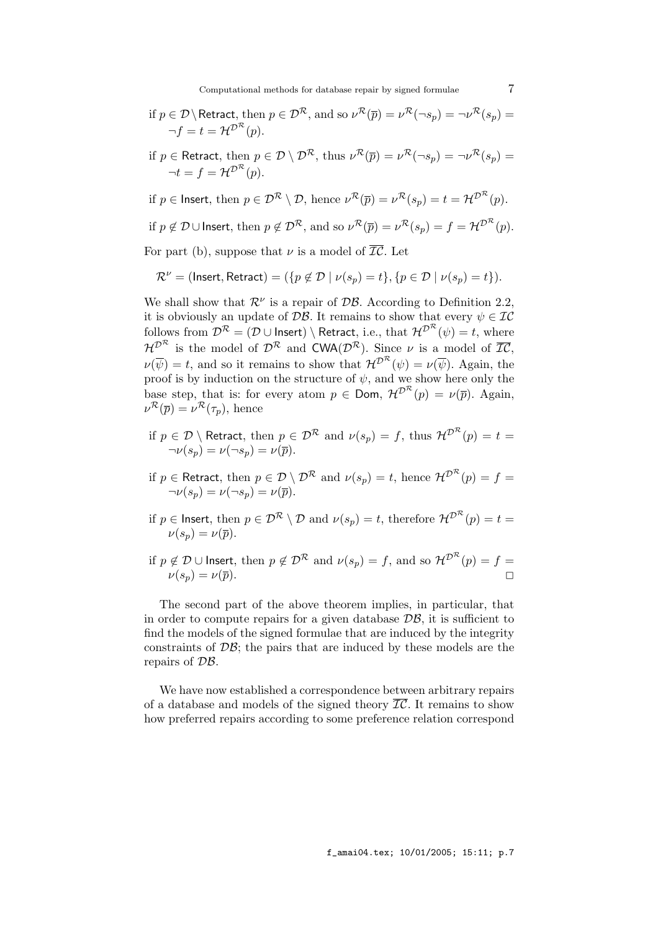Computational methods for database repair by signed formulae  $7$ 

if 
$$
p \in \mathcal{D} \setminus \text{Retract}
$$
, then  $p \in \mathcal{D}^{\mathcal{R}}$ , and so  $\nu^{\mathcal{R}}(\overline{p}) = \nu^{\mathcal{R}}(\neg s_p) = \neg \nu^{\mathcal{R}}(s_p) = \neg f = t = \mathcal{H}^{\mathcal{D}^{\mathcal{R}}}(p)$ .

if 
$$
p \in \text{Retract}
$$
, then  $p \in \mathcal{D} \setminus \mathcal{D}^{\mathcal{R}}$ , thus  $\nu^{\mathcal{R}}(\overline{p}) = \nu^{\mathcal{R}}(\neg s_p) = \neg \nu^{\mathcal{R}}(s_p) = \neg t = f = \mathcal{H}^{\mathcal{D}^{\mathcal{R}}}(p)$ .

if  $p \in \text{Insert, then } p \in \mathcal{D}^{\mathcal{R}} \setminus \mathcal{D} \text{, hence } \nu^{\mathcal{R}}(\overline{p}) = \nu^{\mathcal{R}}(s_p) = t = \mathcal{H}^{\mathcal{D}^{\mathcal{R}}}(p).$ 

if  $p \notin \mathcal{D} \cup$  Insert, then  $p \notin \mathcal{D}^{\mathcal{R}}$ , and so  $\nu^{\mathcal{R}}(\overline{p}) = \nu^{\mathcal{R}}(s_p) = f = \mathcal{H}^{\mathcal{D}^{\mathcal{R}}}(p)$ .

For part (b), suppose that  $\nu$  is a model of  $\overline{\mathcal{IC}}$ . Let

$$
\mathcal{R}^{\nu} = (\text{Insert}, \text{Retract}) = (\{p \not\in \mathcal{D} \mid \nu(s_p) = t\}, \{p \in \mathcal{D} \mid \nu(s_p) = t\}).
$$

We shall show that  $\mathcal{R}^{\nu}$  is a repair of  $\mathcal{DB}$ . According to Definition 2.2, it is obviously an update of  $\mathcal{DB}$ . It remains to show that every  $\psi \in \mathcal{IC}$ follows from  $\mathcal{D}^{\mathcal{R}}=(\mathcal{D}\cup\mathsf{Insert})\setminus\mathsf{Retract},$  i.e., that  $\mathcal{H}^{\mathcal{D}^{\mathcal{R}}}(\psi)=t,$  where  $\mathcal{H}^{\mathcal{D}^{\mathcal{R}}}$  is the model of  $\mathcal{D}^{\mathcal{R}}$  and  $\mathsf{CWA}(\mathcal{D}^{\mathcal{R}})$ . Since  $\nu$  is a model of  $\overline{\mathcal{IC}},$  $\nu(\overline{\psi}) = t$ , and so it remains to show that  $\mathcal{H}^{\mathcal{D}^{\mathcal{R}}}(\psi) = \nu(\overline{\psi})$ . Again, the proof is by induction on the structure of  $\psi$ , and we show here only the base step, that is: for every atom  $p \in \text{Dom}$ ,  $\mathcal{H}^{\mathcal{D}^{\mathcal{R}}}(p) = \nu(\overline{p})$ . Again,  $\nu^{\mathcal{R}}(\overline{p}) = \nu^{\mathcal{R}}(\tau_p)$ , hence

if  $p \in \mathcal{D} \setminus$  Retract, then  $p \in \mathcal{D^R}$  and  $\nu(s_p) = f,$  thus  $\mathcal{H}^{\mathcal{D^R}}(p) = t =$  $\neg \nu(s_p) = \nu(\neg s_p) = \nu(\overline{p}).$ 

if  $p \in$  Retract, then  $p \in \mathcal{D} \setminus \mathcal{D^R}$  and  $\nu(s_p) = t,$  hence  $\mathcal{H}^{\mathcal{D^R}}(p) = f =$  $\neg \nu(s_p) = \nu(\neg s_p) = \nu(\overline{p}).$ 

- if  $p \in$  Insert, then  $p \in \mathcal{D}^{\mathcal{R}} \setminus \mathcal{D}$  and  $\nu(s_p) = t$ , therefore  $\mathcal{H}^{\mathcal{D}^{\mathcal{R}}}(p) = t = 0$  $\nu(s_n) = \nu(\overline{p}).$
- if  $p \notin \mathcal{D} \cup$  Insert, then  $p \notin \mathcal{D^R}$  and  $\nu(s_p) = f,$  and so  $\mathcal{H}^{\mathcal{D^R}}(p) = f =$  $\nu(s_p) = \nu(\overline{p}).$

The second part of the above theorem implies, in particular, that in order to compute repairs for a given database  $\mathcal{DB}$ , it is sufficient to find the models of the signed formulae that are induced by the integrity constraints of  $\mathcal{DB}$ ; the pairs that are induced by these models are the repairs of DB.

We have now established a correspondence between arbitrary repairs of a database and models of the signed theory  $\overline{\mathcal{IC}}$ . It remains to show how preferred repairs according to some preference relation correspond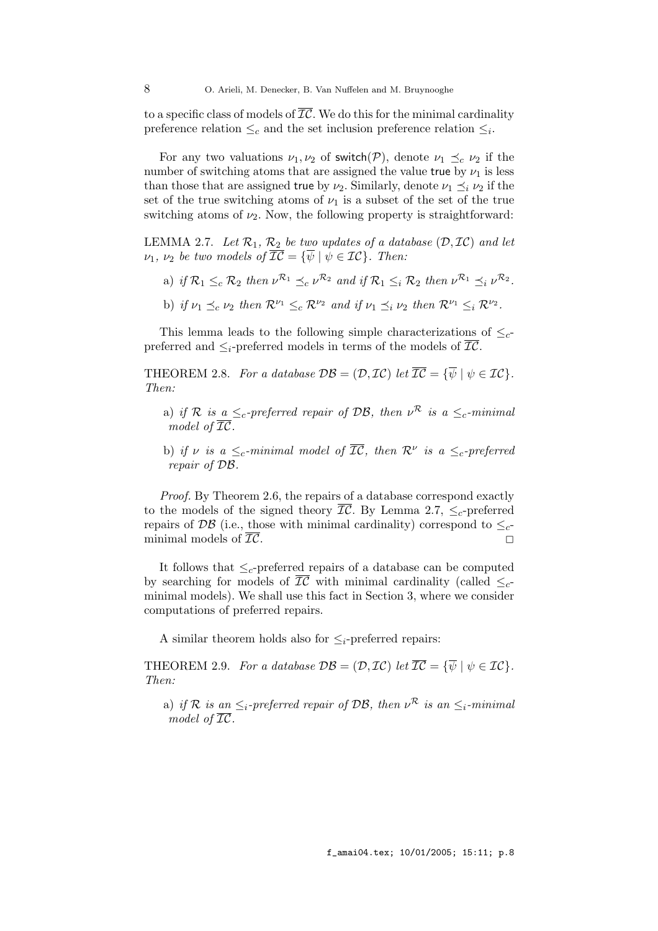to a specific class of models of  $\overline{\mathcal{IC}}$ . We do this for the minimal cardinality preference relation  $\leq_c$  and the set inclusion preference relation  $\leq_i$ .

For any two valuations  $\nu_1, \nu_2$  of switch(P), denote  $\nu_1 \preceq_c \nu_2$  if the number of switching atoms that are assigned the value true by  $\nu_1$  is less than those that are assigned true by  $\nu_2$ . Similarly, denote  $\nu_1 \preceq_i \nu_2$  if the set of the true switching atoms of  $\nu_1$  is a subset of the set of the true switching atoms of  $\nu_2$ . Now, the following property is straightforward:

LEMMA 2.7. Let  $\mathcal{R}_1$ ,  $\mathcal{R}_2$  be two updates of a database  $(\mathcal{D}, \mathcal{IC})$  and let  $\nu_1, \nu_2$  be two models of  $\overline{IC} = {\overline{\psi} \mid \psi \in IC}$ . Then:

- a) if  $\mathcal{R}_1 \leq_c \mathcal{R}_2$  then  $\nu^{\mathcal{R}_1} \preceq_c \nu^{\mathcal{R}_2}$  and if  $\mathcal{R}_1 \leq_i \mathcal{R}_2$  then  $\nu^{\mathcal{R}_1} \preceq_i \nu^{\mathcal{R}_2}$ .
- b) if  $\nu_1 \preceq_c \nu_2$  then  $\mathcal{R}^{\nu_1} \leq_c \mathcal{R}^{\nu_2}$  and if  $\nu_1 \preceq_i \nu_2$  then  $\mathcal{R}^{\nu_1} \leq_i \mathcal{R}^{\nu_2}$ .

This lemma leads to the following simple characterizations of  $\leq_c$ preferred and  $\leq_i$ -preferred models in terms of the models of  $IC$ .

THEOREM 2.8. For a database  $\mathcal{DB} = (\mathcal{D}, \mathcal{IC})$  let  $\overline{\mathcal{IC}} = {\overline{\psi} \mid \psi \in \mathcal{IC}}$ . Then:

- a) if R is a  $\leq_c$ -preferred repair of DB, then  $\nu^R$  is a  $\leq_c$ -minimal model of  $\overline{\mathcal{IC}}$ .
- b) if v is a  $\leq_c$ -minimal model of  $\overline{\mathcal{IC}}$ , then  $\mathcal{R}^{\nu}$  is a  $\leq_c$ -preferred repair of DB.

Proof. By Theorem 2.6, the repairs of a database correspond exactly to the models of the signed theory  $\overline{\mathcal{IC}}$ . By Lemma 2.7,  $\leq_c$ -preferred repairs of DB (i.e., those with minimal cardinality) correspond to  $\leq_c$ minimal models of  $\overline{\mathcal{IC}}$ .

It follows that  $\leq_c$ -preferred repairs of a database can be computed by searching for models of  $\overline{IC}$  with minimal cardinality (called  $\leq_c$ minimal models). We shall use this fact in Section 3, where we consider computations of preferred repairs.

A similar theorem holds also for  $\leq_i$ -preferred repairs:

THEOREM 2.9. For a database  $\mathcal{DB} = (\mathcal{D}, \mathcal{IC})$  let  $\overline{\mathcal{IC}} = {\overline{\psi} \mid \psi \in \mathcal{IC}}$ . Then:

a) if R is an  $\leq_i$ -preferred repair of DB, then  $\nu^{\mathcal{R}}$  is an  $\leq_i$ -minimal model of  $\overline{\mathcal{IC}}$ .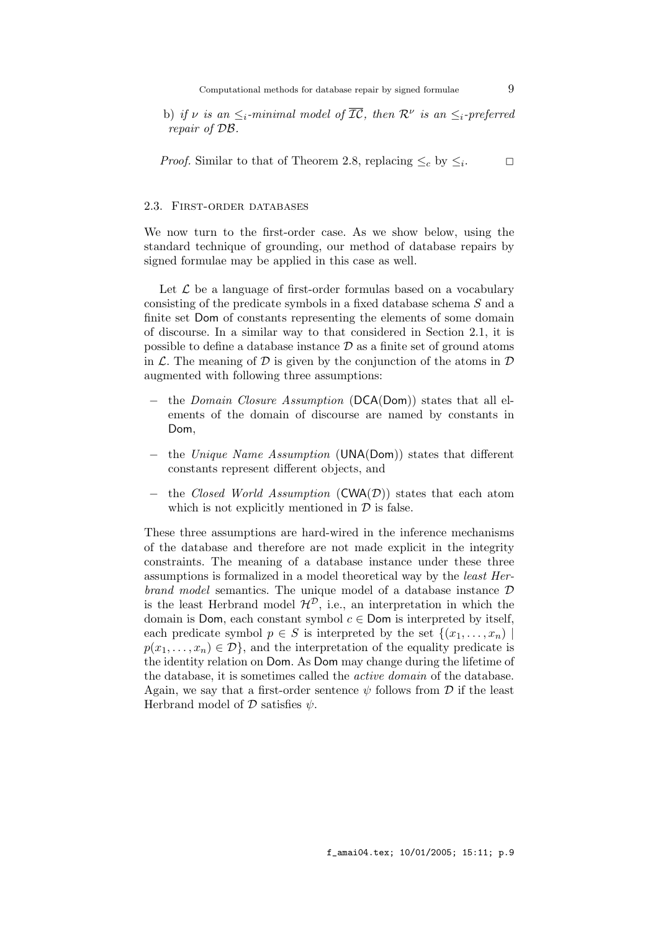b) if v is an  $\leq_i$ -minimal model of  $\overline{\mathcal{IC}}$ , then  $\mathcal{R}^{\nu}$  is an  $\leq_i$ -preferred repair of DB.

*Proof.* Similar to that of Theorem 2.8, replacing  $\leq_c$  by  $\leq_i$ .  $\Box$ 

## 2.3. First-order databases

We now turn to the first-order case. As we show below, using the standard technique of grounding, our method of database repairs by signed formulae may be applied in this case as well.

Let  $\mathcal L$  be a language of first-order formulas based on a vocabulary consisting of the predicate symbols in a fixed database schema S and a finite set Dom of constants representing the elements of some domain of discourse. In a similar way to that considered in Section 2.1, it is possible to define a database instance  $\mathcal{D}$  as a finite set of ground atoms in  $\mathcal L$ . The meaning of  $\mathcal D$  is given by the conjunction of the atoms in  $\mathcal D$ augmented with following three assumptions:

- − the Domain Closure Assumption (DCA(Dom)) states that all elements of the domain of discourse are named by constants in Dom,
- − the Unique Name Assumption (UNA(Dom)) states that different constants represent different objects, and
- the Closed World Assumption (CWA( $\mathcal{D}$ )) states that each atom which is not explicitly mentioned in  $\mathcal D$  is false.

These three assumptions are hard-wired in the inference mechanisms of the database and therefore are not made explicit in the integrity constraints. The meaning of a database instance under these three assumptions is formalized in a model theoretical way by the least Herbrand model semantics. The unique model of a database instance  $D$ is the least Herbrand model  $\mathcal{H}^{\mathcal{D}}$ , i.e., an interpretation in which the domain is Dom, each constant symbol  $c \in$  Dom is interpreted by itself, each predicate symbol  $p \in S$  is interpreted by the set  $\{(x_1, \ldots, x_n) \mid$  $p(x_1, \ldots, x_n) \in \mathcal{D}$ , and the interpretation of the equality predicate is the identity relation on Dom. As Dom may change during the lifetime of the database, it is sometimes called the active domain of the database. Again, we say that a first-order sentence  $\psi$  follows from D if the least Herbrand model of  $\mathcal D$  satisfies  $\psi$ .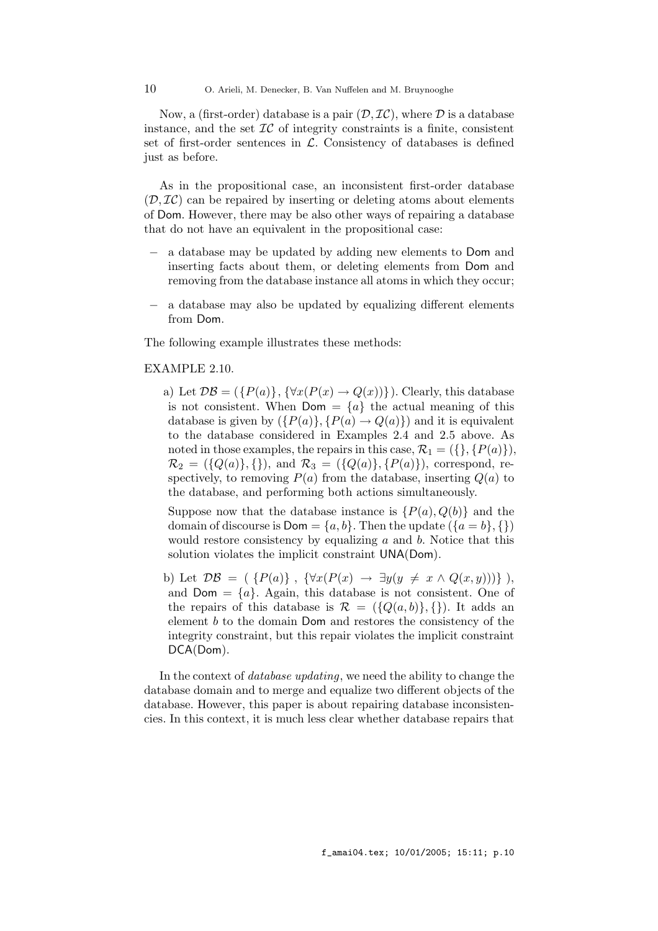10 O. Arieli, M. Denecker, B. Van Nuffelen and M. Bruynooghe

Now, a (first-order) database is a pair  $(D, \mathcal{IC})$ , where  $D$  is a database instance, and the set  $\mathcal{IC}$  of integrity constraints is a finite, consistent set of first-order sentences in  $\mathcal{L}$ . Consistency of databases is defined just as before.

As in the propositional case, an inconsistent first-order database  $(\mathcal{D}, \mathcal{I}\mathcal{C})$  can be repaired by inserting or deleting atoms about elements of Dom. However, there may be also other ways of repairing a database that do not have an equivalent in the propositional case:

- − a database may be updated by adding new elements to Dom and inserting facts about them, or deleting elements from Dom and removing from the database instance all atoms in which they occur;
- − a database may also be updated by equalizing different elements from Dom.

The following example illustrates these methods:

## EXAMPLE 2.10.

a) Let  $\mathcal{DB} = (\{P(a)\}, \{\forall x (P(x) \rightarrow Q(x))\})$ . Clearly, this database is not consistent. When  $Dom = \{a\}$  the actual meaning of this database is given by  $({P(a)}, {P(a) \rightarrow Q(a)})$  and it is equivalent to the database considered in Examples 2.4 and 2.5 above. As noted in those examples, the repairs in this case,  $\mathcal{R}_1 = (\{\}, \{P(a)\}),$  $\mathcal{R}_2 = (\{Q(a)\}, \{\})$ , and  $\mathcal{R}_3 = (\{Q(a)\}, \{P(a)\})$ , correspond, respectively, to removing  $P(a)$  from the database, inserting  $Q(a)$  to the database, and performing both actions simultaneously.

Suppose now that the database instance is  $\{P(a), Q(b)\}\$  and the domain of discourse is  $Dom = \{a, b\}$ . Then the update  $(\{a = b\}, \{\})$ would restore consistency by equalizing  $a$  and  $b$ . Notice that this solution violates the implicit constraint UNA(Dom).

b) Let  $\mathcal{DB} = (\{P(a)\}, \{\forall x (P(x) \rightarrow \exists y (y \neq x \land Q(x, y)))\}),$ and  $Dom = \{a\}$ . Again, this database is not consistent. One of the repairs of this database is  $\mathcal{R} = (\{Q(a, b)\}, \{\})$ . It adds an element b to the domain Dom and restores the consistency of the integrity constraint, but this repair violates the implicit constraint DCA(Dom).

In the context of *database updating*, we need the ability to change the database domain and to merge and equalize two different objects of the database. However, this paper is about repairing database inconsistencies. In this context, it is much less clear whether database repairs that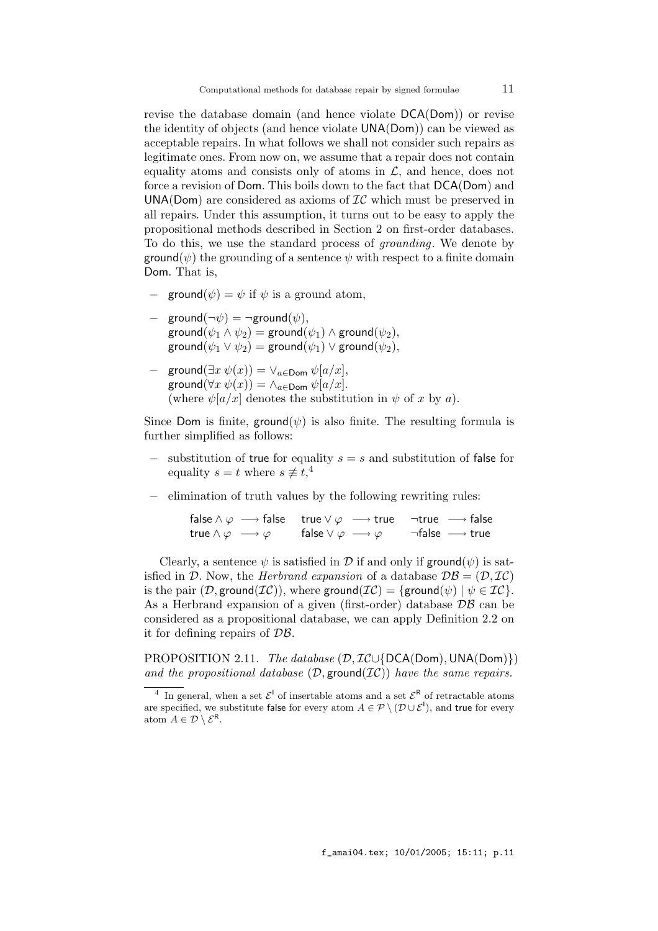revise the database domain (and hence violate DCA(Dom)) or revise the identity of objects (and hence violate UNA(Dom)) can be viewed as acceptable repairs. In what follows we shall not consider such repairs as legitimate ones. From now on, we assume that a repair does not contain equality atoms and consists only of atoms in  $\mathcal{L}$ , and hence, does not force a revision of Dom. This boils down to the fact that DCA(Dom) and UNA(Dom) are considered as axioms of  $IC$  which must be preserved in all repairs. Under this assumption, it turns out to be easy to apply the propositional methods described in Section 2 on first-order databases. To do this, we use the standard process of grounding. We denote by  $\mathsf{ground}(\psi)$  the grounding of a sentence  $\psi$  with respect to a finite domain Dom. That is,

- $\phi$  = ground( $\psi$ ) =  $\psi$  if  $\psi$  is a ground atom,
- ground $(\neg \psi) = \neg$ ground $(\psi)$ ,  $\mathsf{ground}(\psi_1 \land \psi_2) = \mathsf{ground}(\psi_1) \land \mathsf{ground}(\psi_2),$  $\mathsf{ground}(\psi_1 \lor \psi_2) = \mathsf{ground}(\psi_1) \lor \mathsf{ground}(\psi_2),$
- $-\text{ ground}(\exists x \psi(x)) = \vee_{a \in \text{Dom}} \psi[a/x],$ ground( $\forall x \psi(x)$ ) =  $\wedge_{a \in \text{Dom}} \psi[a/x]$ . (where  $\psi[a/x]$  denotes the substitution in  $\psi$  of x by a).

Since Dom is finite, ground( $\psi$ ) is also finite. The resulting formula is further simplified as follows:

- substitution of true for equality  $s = s$  and substitution of false for equality  $s = t$  where  $s \not\equiv t,^4$
- − elimination of truth values by the following rewriting rules:

$$
\mathsf{false} \land \varphi \longrightarrow \mathsf{false} \quad \mathsf{true} \lor \varphi \longrightarrow \mathsf{true} \quad \neg \mathsf{true} \longrightarrow \mathsf{false}
$$
\n
$$
\mathsf{true} \land \varphi \longrightarrow \varphi \quad \qquad \mathsf{false} \lor \varphi \longrightarrow \varphi \quad \qquad \neg \mathsf{false} \longrightarrow \mathsf{true}
$$

Clearly, a sentence  $\psi$  is satisfied in D if and only if ground( $\psi$ ) is satisfied in D. Now, the *Herbrand expansion* of a database  $\mathcal{DB} = (\mathcal{D}, \mathcal{IC})$ is the pair  $(\mathcal{D}, \text{ground}(\mathcal{IC}))$ , where ground $(\mathcal{IC}) = {\{\text{ground}(\psi) \mid \psi \in \mathcal{IC}\}.$ As a Herbrand expansion of a given (first-order) database  $\mathcal{DB}$  can be considered as a propositional database, we can apply Definition 2.2 on it for defining repairs of DB.

PROPOSITION 2.11. The database (D, IC∪{DCA(Dom), UNA(Dom)}) and the propositional database  $(D, \text{ground}(\mathcal{IC}))$  have the same repairs.

 $^4\,$  In general, when a set  $\mathcal{E}^{\text{I}}$  of insertable atoms and a set  $\mathcal{E}^{\text{R}}$  of retractable atoms are specified, we substitute false for every atom  $A \in \mathcal{P} \setminus (\mathcal{D} \cup \mathcal{E}^1)$ , and true for every atom  $A \in \mathcal{D} \setminus \mathcal{E}^{\mathsf{R}}$ .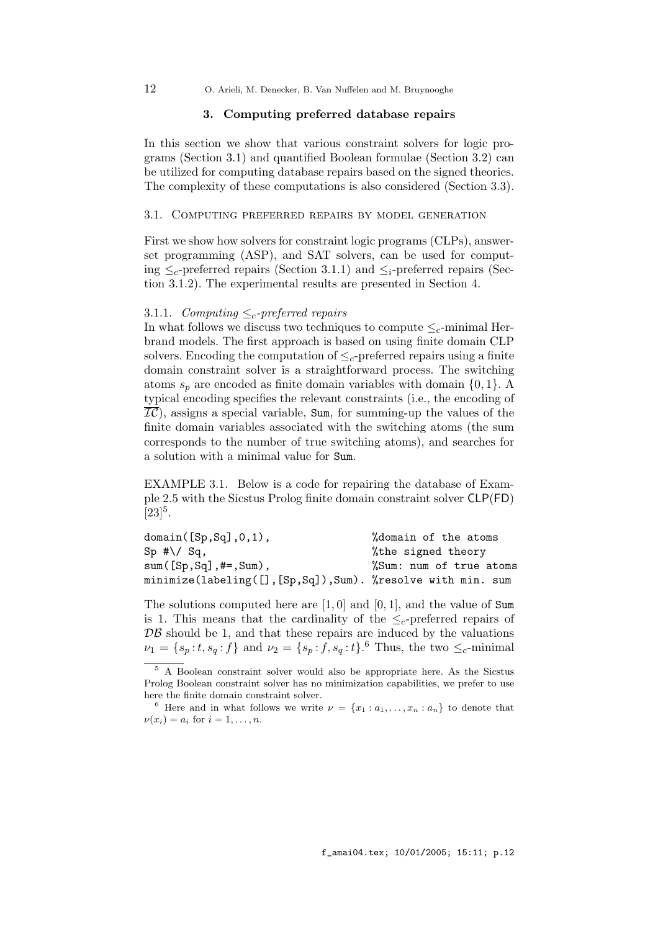12 O. Arieli, M. Denecker, B. Van Nuffelen and M. Bruynooghe

## 3. Computing preferred database repairs

In this section we show that various constraint solvers for logic programs (Section 3.1) and quantified Boolean formulae (Section 3.2) can be utilized for computing database repairs based on the signed theories. The complexity of these computations is also considered (Section 3.3).

## 3.1. Computing preferred repairs by model generation

First we show how solvers for constraint logic programs (CLPs), answerset programming (ASP), and SAT solvers, can be used for computing  $\leq_c$ -preferred repairs (Section 3.1.1) and  $\leq_c$ -preferred repairs (Section 3.1.2). The experimental results are presented in Section 4.

## 3.1.1. Computing  $\leq_c$ -preferred repairs

In what follows we discuss two techniques to compute  $\leq_c$ -minimal Herbrand models. The first approach is based on using finite domain CLP solvers. Encoding the computation of  $\leq_c$ -preferred repairs using a finite domain constraint solver is a straightforward process. The switching atoms  $s_p$  are encoded as finite domain variables with domain  $\{0, 1\}$ . A typical encoding specifies the relevant constraints (i.e., the encoding of  $\overline{IC}$ ), assigns a special variable, Sum, for summing-up the values of the finite domain variables associated with the switching atoms (the sum corresponds to the number of true switching atoms), and searches for a solution with a minimal value for Sum.

EXAMPLE 3.1. Below is a code for repairing the database of Example 2.5 with the Sicstus Prolog finite domain constraint solver CLP(FD)  $[23]^{5}$ .

| domain([Sp, Sq], 0, 1),                                       | %domain of the atoms    |
|---------------------------------------------------------------|-------------------------|
| $Sp$ #\/ Sq,                                                  | %the signed theory      |
| $sum([Sp, Sq], #=, Sum),$                                     | %Sum: num of true atoms |
| minimize(labeling([], [Sp, Sq]), Sum). %resolve with min. sum |                         |

The solutions computed here are [1, 0] and [0, 1], and the value of Sum is 1. This means that the cardinality of the  $\leq_c$ -preferred repairs of  $\mathcal{DB}$  should be 1, and that these repairs are induced by the valuations  $\nu_1 = \{s_p : t, s_q : f\}$  and  $\nu_2 = \{s_p : f, s_q : t\}$ . Thus, the two  $\leq_c$ -minimal

<sup>5</sup> A Boolean constraint solver would also be appropriate here. As the Sicstus Prolog Boolean constraint solver has no minimization capabilities, we prefer to use here the finite domain constraint solver.

<sup>&</sup>lt;sup>6</sup> Here and in what follows we write  $\nu = \{x_1 : a_1, \ldots, x_n : a_n\}$  to denote that  $\nu(x_i) = a_i$  for  $i = 1, \ldots, n$ .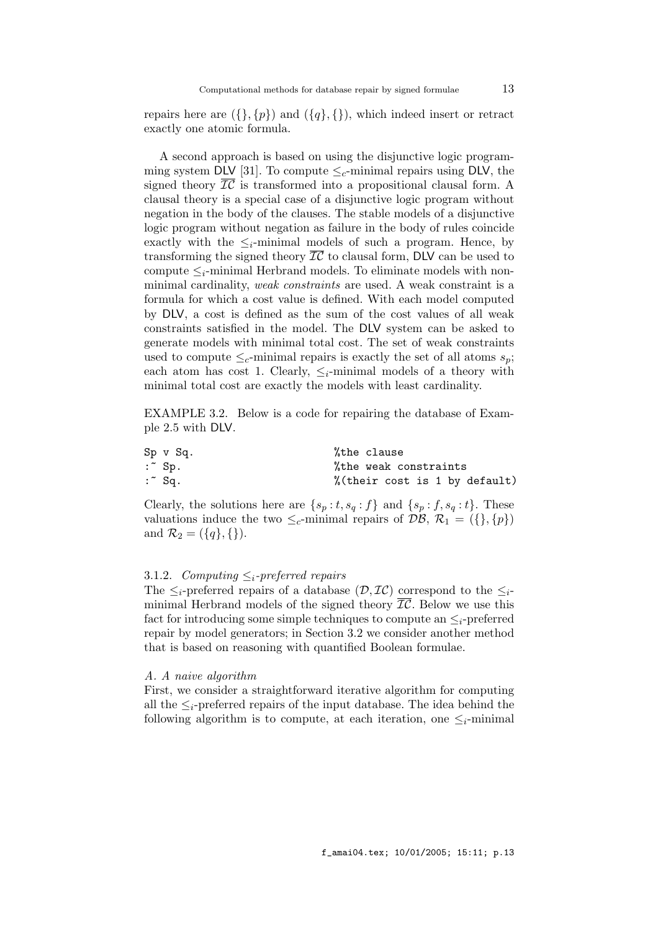Computational methods for database repair by signed formulae  $13$ 

repairs here are  $({}, \{p\})$  and  $({q}, \{})$ , which indeed insert or retract exactly one atomic formula.

A second approach is based on using the disjunctive logic programming system DLV [31]. To compute  $\leq_c$ -minimal repairs using DLV, the signed theory  $\overline{\mathcal{IC}}$  is transformed into a propositional clausal form. A clausal theory is a special case of a disjunctive logic program without negation in the body of the clauses. The stable models of a disjunctive logic program without negation as failure in the body of rules coincide exactly with the  $\leq_i$ -minimal models of such a program. Hence, by transforming the signed theory  $\overline{IC}$  to clausal form, DLV can be used to compute  $\leq_i$ -minimal Herbrand models. To eliminate models with nonminimal cardinality, *weak constraints* are used. A weak constraint is a formula for which a cost value is defined. With each model computed by DLV, a cost is defined as the sum of the cost values of all weak constraints satisfied in the model. The DLV system can be asked to generate models with minimal total cost. The set of weak constraints used to compute  $\leq_c$ -minimal repairs is exactly the set of all atoms  $s_p$ ; each atom has cost 1. Clearly,  $\leq_i$ -minimal models of a theory with minimal total cost are exactly the models with least cardinality.

EXAMPLE 3.2. Below is a code for repairing the database of Example 2.5 with DLV.

| $Sp \, v \, Sq.$  | %the clause                   |
|-------------------|-------------------------------|
| $:$ Sp.           | %the weak constraints         |
| $:$ $\degree$ Sq. | %(their cost is 1 by default) |

Clearly, the solutions here are  $\{s_p : t, s_q : f\}$  and  $\{s_p : f, s_q : t\}$ . These valuations induce the two  $\leq_c$ -minimal repairs of  $\mathcal{DB}, \mathcal{R}_1 = (\{\}, \{p\})$ and  $\mathcal{R}_2 = (\{q\}, \{\})$ .

## 3.1.2. Computing  $\leq_i$ -preferred repairs

The  $\leq_i$ -preferred repairs of a database  $(\mathcal{D}, \mathcal{IC})$  correspond to the  $\leq_i$ minimal Herbrand models of the signed theory  $\overline{IC}$ . Below we use this fact for introducing some simple techniques to compute an  $\leq_i$ -preferred repair by model generators; in Section 3.2 we consider another method that is based on reasoning with quantified Boolean formulae.

#### A. A naive algorithm

First, we consider a straightforward iterative algorithm for computing all the  $\leq_i$ -preferred repairs of the input database. The idea behind the following algorithm is to compute, at each iteration, one  $\leq_i$ -minimal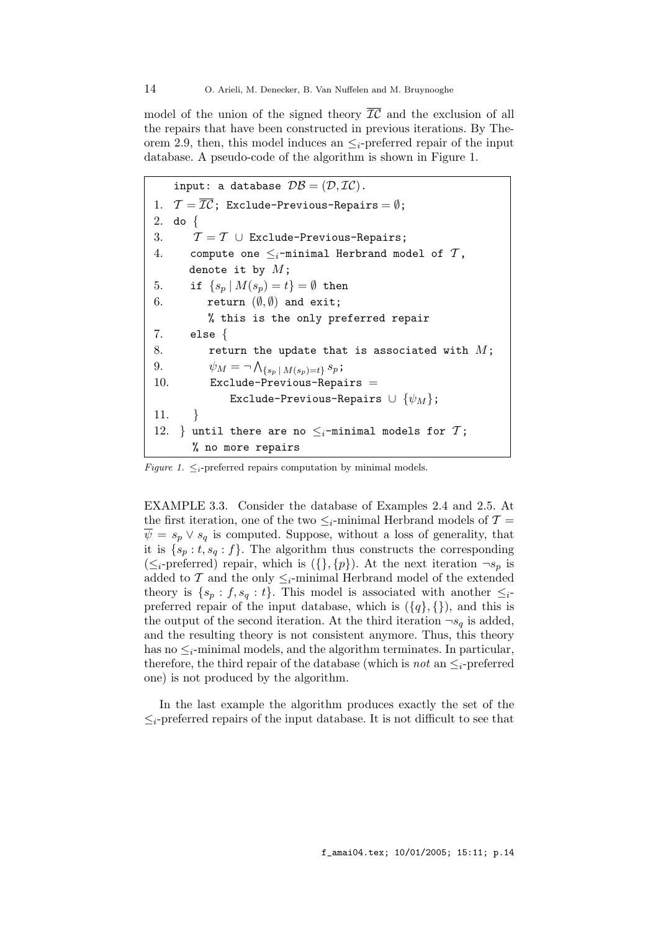model of the union of the signed theory  $\overline{IC}$  and the exclusion of all the repairs that have been constructed in previous iterations. By Theorem 2.9, then, this model induces an  $\leq_i$ -preferred repair of the input database. A pseudo-code of the algorithm is shown in Figure 1.

input: a database  $\mathcal{DB} = (\mathcal{D}, \mathcal{IC})$ . 1.  $\mathcal{T} = \overline{\mathcal{IC}}$ ; Exclude-Previous-Repairs =  $\emptyset$ ; 2. do { 3.  $\mathcal{T} = \mathcal{T} \cup$  Exclude-Previous-Repairs; 4. compute one  $\leq_i$ -minimal Herbrand model of  $\mathcal T$ , denote it by  $M$ ; 5. if  $\{s_n | M(s_n) = t\} = \emptyset$  then 6. return  $(\emptyset, \emptyset)$  and exit; % this is the only preferred repair 7. else { 8. return the update that is associated with  $M$ ; 9.  $\psi_M = \neg \bigwedge_{\{s_p \mid M(s_p) = t\}} s_p;$ 10. Exclude-Previous-Repairs  $=$ Exclude-Previous-Repairs  $\cup$   $\{\psi_M\};$ 11. } 12. } until there are no  $\leq_i$ -minimal models for  $\mathcal{T}$ ; % no more repairs

Figure 1.  $\leq_i$ -preferred repairs computation by minimal models.

EXAMPLE 3.3. Consider the database of Examples 2.4 and 2.5. At the first iteration, one of the two  $\leq_i$ -minimal Herbrand models of  $\mathcal{T} =$  $\psi = s_p \vee s_q$  is computed. Suppose, without a loss of generality, that it is  $\{s_p : t, s_q : f\}$ . The algorithm thus constructs the corresponding  $(\leq_i$ -preferred) repair, which is  $(\{\}, \{p\})$ . At the next iteration  $\neg s_p$  is added to  $\mathcal T$  and the only  $\leq_i$ -minimal Herbrand model of the extended theory is  $\{s_p : f, s_q : t\}$ . This model is associated with another  $\leq_{i^-}$ preferred repair of the input database, which is  $({q}, {})$ , and this is the output of the second iteration. At the third iteration  $\neg s_q$  is added, and the resulting theory is not consistent anymore. Thus, this theory has no  $\leq_i$ -minimal models, and the algorithm terminates. In particular, therefore, the third repair of the database (which is *not* an  $\leq_i$ -preferred one) is not produced by the algorithm.

In the last example the algorithm produces exactly the set of the  $\leq_i$ -preferred repairs of the input database. It is not difficult to see that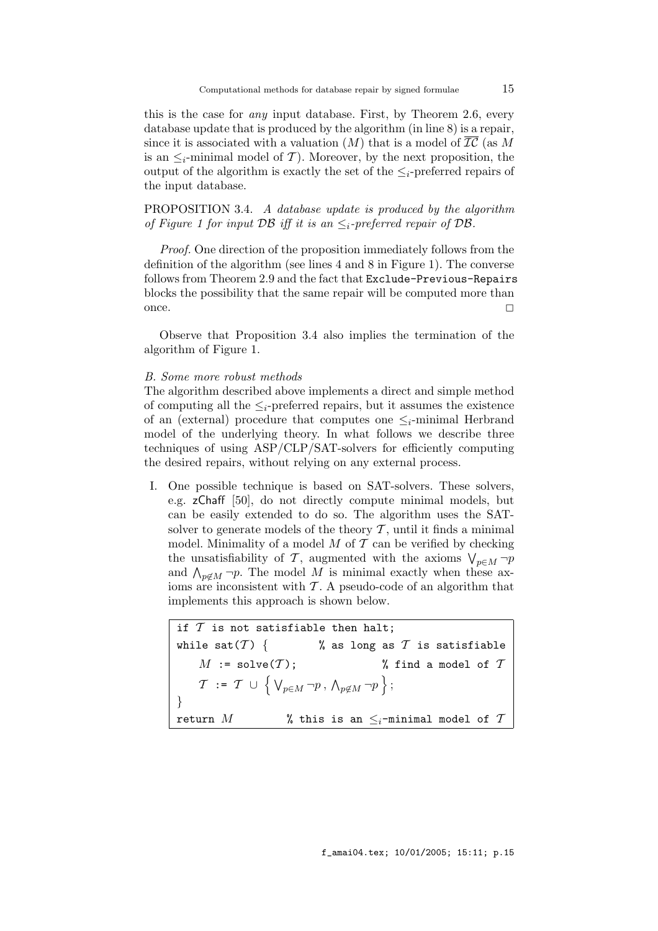this is the case for any input database. First, by Theorem 2.6, every database update that is produced by the algorithm (in line 8) is a repair, since it is associated with a valuation  $(M)$  that is a model of  $\overline{IC}$  (as M is an  $\leq_i$ -minimal model of T). Moreover, by the next proposition, the output of the algorithm is exactly the set of the  $\leq_i$ -preferred repairs of the input database.

PROPOSITION 3.4. A database update is produced by the algorithm of Figure 1 for input DB iff it is an  $\leq_i$ -preferred repair of DB.

Proof. One direction of the proposition immediately follows from the definition of the algorithm (see lines 4 and 8 in Figure 1). The converse follows from Theorem 2.9 and the fact that Exclude-Previous-Repairs blocks the possibility that the same repair will be computed more than once.  $\Box$ 

Observe that Proposition 3.4 also implies the termination of the algorithm of Figure 1.

#### B. Some more robust methods

The algorithm described above implements a direct and simple method of computing all the  $\leq_i$ -preferred repairs, but it assumes the existence of an (external) procedure that computes one  $\leq_i$ -minimal Herbrand model of the underlying theory. In what follows we describe three techniques of using ASP/CLP/SAT-solvers for efficiently computing the desired repairs, without relying on any external process.

I. One possible technique is based on SAT-solvers. These solvers, e.g. zChaff [50], do not directly compute minimal models, but can be easily extended to do so. The algorithm uses the SATsolver to generate models of the theory  $\mathcal T$ , until it finds a minimal model. Minimality of a model  $M$  of  $\mathcal T$  can be verified by checking the unsatisfiability of T, augmented with the axioms  $\bigvee_{p\in M} \neg p$ and  $\bigwedge_{p \notin M} \neg p$ . The model M is minimal exactly when these axioms are inconsistent with  $\mathcal T$ . A pseudo-code of an algorithm that implements this approach is shown below.

if  $T$  is not satisfiable then halt; while sat(T) {  $\%$  as long as T is satisfiable  $M := \text{solve}(\mathcal{T});$  % find a model of  $\mathcal{T}$  $\mathcal{T}$  :=  $\mathcal{T}$   $\cup$   $\left\{ \left. \mathsf{V}_{p\in M}\, \neg p \right. ,\, \mathsf{\Lambda}_{p\not\in M}\, \neg p \right.\right\} ;$ } return M  $\qquad$  % this is an  $\leq_i$ -minimal model of T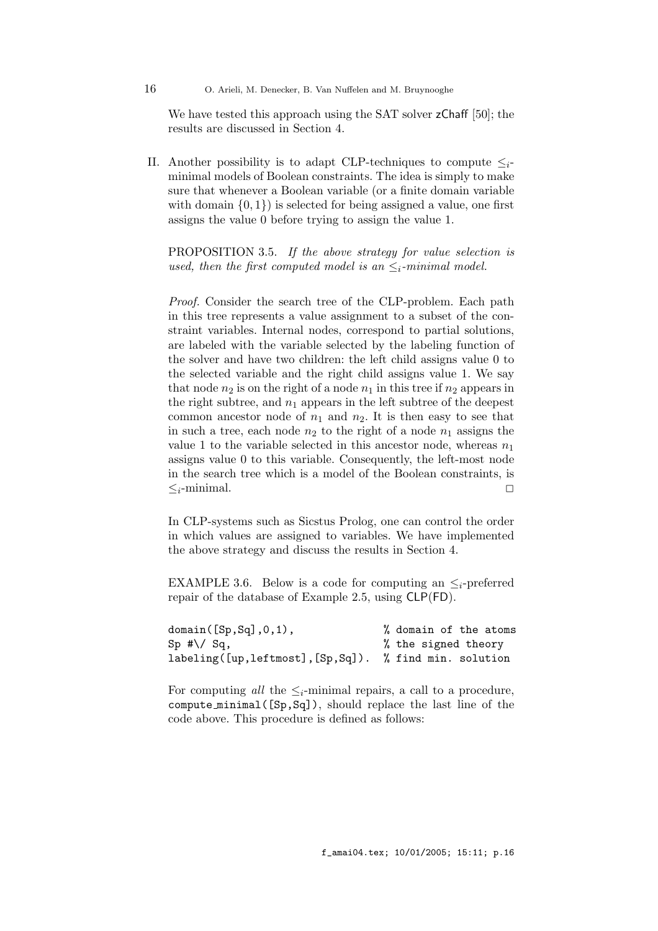16 O. Arieli, M. Denecker, B. Van Nuffelen and M. Bruynooghe

We have tested this approach using the SAT solver  $z$ Chaff [50]; the results are discussed in Section 4.

II. Another possibility is to adapt CLP-techniques to compute  $\leq_i$ minimal models of Boolean constraints. The idea is simply to make sure that whenever a Boolean variable (or a finite domain variable with domain  $\{0, 1\}$  is selected for being assigned a value, one first assigns the value 0 before trying to assign the value 1.

PROPOSITION 3.5. If the above strategy for value selection is used, then the first computed model is an  $\leq_i$ -minimal model.

Proof. Consider the search tree of the CLP-problem. Each path in this tree represents a value assignment to a subset of the constraint variables. Internal nodes, correspond to partial solutions, are labeled with the variable selected by the labeling function of the solver and have two children: the left child assigns value 0 to the selected variable and the right child assigns value 1. We say that node  $n_2$  is on the right of a node  $n_1$  in this tree if  $n_2$  appears in the right subtree, and  $n_1$  appears in the left subtree of the deepest common ancestor node of  $n_1$  and  $n_2$ . It is then easy to see that in such a tree, each node  $n_2$  to the right of a node  $n_1$  assigns the value 1 to the variable selected in this ancestor node, whereas  $n_1$ assigns value 0 to this variable. Consequently, the left-most node in the search tree which is a model of the Boolean constraints, is  $\leq_i$ -minimal.

In CLP-systems such as Sicstus Prolog, one can control the order in which values are assigned to variables. We have implemented the above strategy and discuss the results in Section 4.

EXAMPLE 3.6. Below is a code for computing an  $\leq_i$ -preferred repair of the database of Example 2.5, using CLP(FD).

| domain([Sp, Sq], 0, 1),                               | % domain of the atoms |
|-------------------------------------------------------|-----------------------|
| $Sp$ #\/ Sq,                                          | % the signed theory   |
| labeling([up,leftmost],[Sp,Sq]). % find min. solution |                       |

For computing all the  $\leq_i$ -minimal repairs, a call to a procedure, compute minimal([Sp,Sq]), should replace the last line of the code above. This procedure is defined as follows: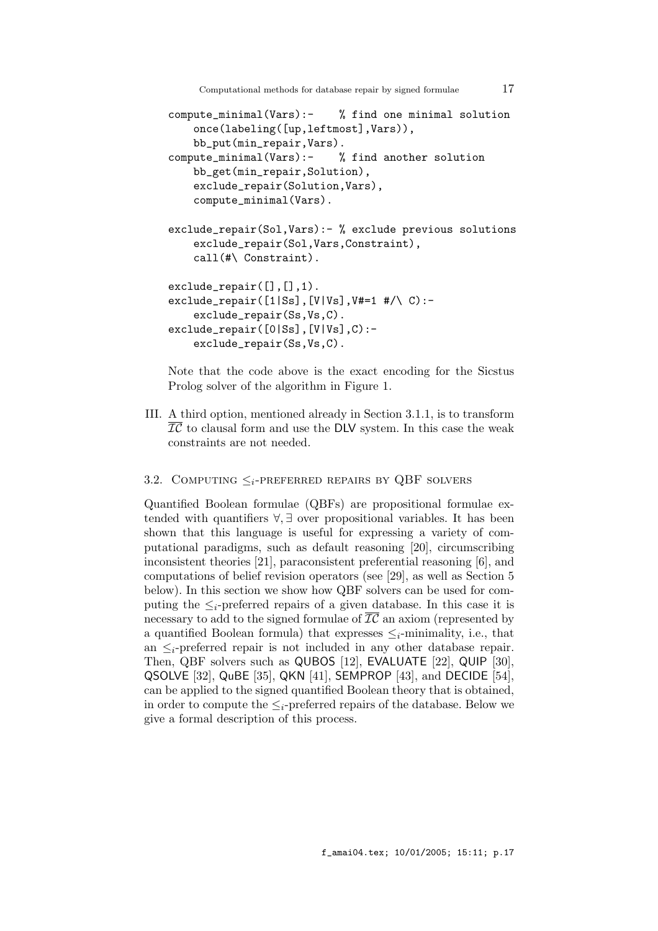Computational methods for database repair by signed formulae 17

```
compute_minimal(Vars):- % find one minimal solution
    once(labeling([up,leftmost],Vars)),
    bb_put(min_repair,Vars).
compute_minimal(Vars):- % find another solution
    bb_get(min_repair,Solution),
    exclude_repair(Solution,Vars),
    compute_minimal(Vars).
exclude_repair(Sol,Vars):- % exclude previous solutions
    exclude_repair(Sol,Vars,Constraint),
    call(#\ Constraint).
exclude_repair([], [], 1).
exclude_repair([1|Ss],[V|Vs],V#=1 #/\ C):-
    exclude_repair(Ss,Vs,C).
exclude_repair([0|Ss],[V|Vs],C):-
    exclude_repair(Ss,Vs,C).
```
Note that the code above is the exact encoding for the Sicstus Prolog solver of the algorithm in Figure 1.

III. A third option, mentioned already in Section 3.1.1, is to transform  $\overline{IC}$  to clausal form and use the DLV system. In this case the weak constraints are not needed.

## 3.2. COMPUTING  $\leq_i$ -PREFERRED REPAIRS BY QBF SOLVERS

Quantified Boolean formulae (QBFs) are propositional formulae extended with quantifiers ∀, ∃ over propositional variables. It has been shown that this language is useful for expressing a variety of computational paradigms, such as default reasoning [20], circumscribing inconsistent theories [21], paraconsistent preferential reasoning [6], and computations of belief revision operators (see [29], as well as Section 5 below). In this section we show how QBF solvers can be used for computing the  $\leq_i$ -preferred repairs of a given database. In this case it is necessary to add to the signed formulae of  $\overline{IC}$  an axiom (represented by a quantified Boolean formula) that expresses  $\leq_i$ -minimality, i.e., that an  $\leq_i$ -preferred repair is not included in any other database repair. Then, QBF solvers such as QUBOS [12], EVALUATE [22], QUIP [30], QSOLVE [32], QuBE [35], QKN [41], SEMPROP [43], and DECIDE [54], can be applied to the signed quantified Boolean theory that is obtained, in order to compute the  $\leq_i$ -preferred repairs of the database. Below we give a formal description of this process.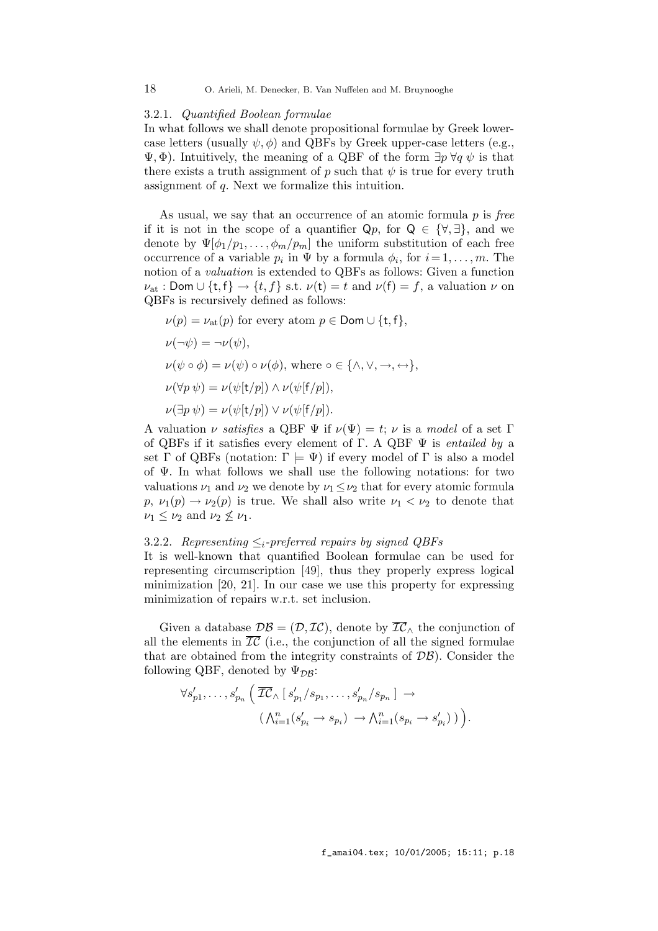#### 3.2.1. Quantified Boolean formulae

In what follows we shall denote propositional formulae by Greek lowercase letters (usually  $\psi$ ,  $\phi$ ) and QBFs by Greek upper-case letters (e.g.,  $\Psi$ ,  $\Phi$ ). Intuitively, the meaning of a QBF of the form  $\exists p \forall q \psi$  is that there exists a truth assignment of p such that  $\psi$  is true for every truth assignment of q. Next we formalize this intuition.

As usual, we say that an occurrence of an atomic formula  $p$  is free if it is not in the scope of a quantifier  $\mathsf{Q}p$ , for  $\mathsf{Q} \in {\forall, \exists}$ , and we denote by  $\Psi[\phi_1/p_1,\ldots,\phi_m/p_m]$  the uniform substitution of each free occurrence of a variable  $p_i$  in  $\Psi$  by a formula  $\phi_i$ , for  $i = 1, \ldots, m$ . The notion of a valuation is extended to QBFs as follows: Given a function  $\nu_{\text{at}}$ : Dom  $\cup$  {t, f}  $\rightarrow$  {t, f} s.t.  $\nu(\text{t}) = t$  and  $\nu(\text{f}) = f$ , a valuation  $\nu$  on QBFs is recursively defined as follows:

 $\nu(p) = \nu_{\text{at}}(p)$  for every atom  $p \in \text{Dom} \cup \{t, f\},\$  $\nu(\neg \psi) = \neg \nu(\psi),$  $\nu(\psi \circ \phi) = \nu(\psi) \circ \nu(\phi)$ , where  $\circ \in \{\wedge, \vee, \rightarrow, \leftrightarrow\},$  $\nu(\forall p \psi) = \nu(\psi[\mathsf{t}/p]) \wedge \nu(\psi[\mathsf{f}/p]),$  $\nu(\exists p \psi) = \nu(\psi[t/p]) \vee \nu(\psi[f/p]).$ 

A valuation  $\nu$  satisfies a QBF  $\Psi$  if  $\nu(\Psi) = t$ ;  $\nu$  is a model of a set  $\Gamma$ of QBFs if it satisfies every element of Γ. A QBF  $\Psi$  is entailed by a set Γ of QBFs (notation:  $\Gamma \models \Psi$ ) if every model of Γ is also a model of Ψ. In what follows we shall use the following notations: for two valuations  $\nu_1$  and  $\nu_2$  we denote by  $\nu_1 \leq \nu_2$  that for every atomic formula  $p, \nu_1(p) \to \nu_2(p)$  is true. We shall also write  $\nu_1 < \nu_2$  to denote that  $\nu_1 \leq \nu_2$  and  $\nu_2 \nleq \nu_1$ .

## 3.2.2. Representing  $\leq_i$ -preferred repairs by signed QBFs

It is well-known that quantified Boolean formulae can be used for representing circumscription [49], thus they properly express logical minimization [20, 21]. In our case we use this property for expressing minimization of repairs w.r.t. set inclusion.

Given a database  $\mathcal{DB} = (\mathcal{D}, \mathcal{IC})$ , denote by  $\overline{\mathcal{IC}}_{\wedge}$  the conjunction of all the elements in  $\overline{IC}$  (i.e., the conjunction of all the signed formulae that are obtained from the integrity constraints of  $\mathcal{DB}$ ). Consider the following QBF, denoted by  $\Psi_{\mathcal{D}\mathcal{B}}$ :

$$
\forall s'_{p1}, \ldots, s'_{p_n} \left( \overline{\mathcal{IC}}_{\wedge} \left[ s'_{p_1} / s_{p_1}, \ldots, s'_{p_n} / s_{p_n} \right] \right. \to \cdots
$$

$$
\left( \bigwedge_{i=1}^n (s'_{p_i} \to s_{p_i}) \to \bigwedge_{i=1}^n (s_{p_i} \to s'_{p_i}) \right) \right).
$$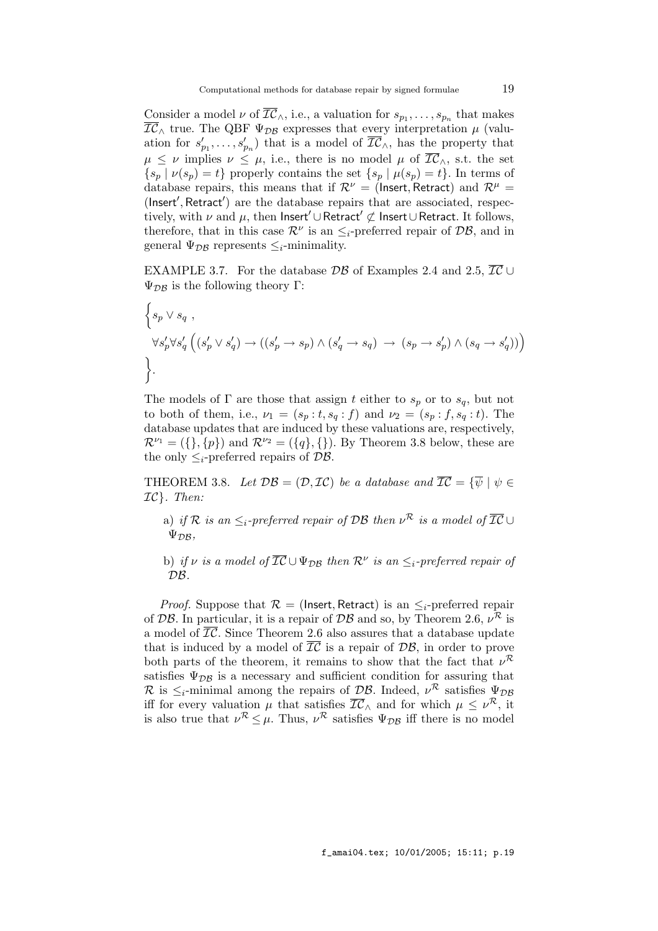Consider a model  $\nu$  of  $\mathcal{IC}_\wedge$ , i.e., a valuation for  $s_{p_1}, \ldots, s_{p_n}$  that makes  $\overline{IC}_{\wedge}$  true. The QBF  $\Psi_{\mathcal{DB}}$  expresses that every interpretation  $\mu$  (valuation for  $s'_{p_1}, \ldots, s'_{p_n}$  that is a model of  $\overline{IC}_\wedge$ , has the property that  $\mu \leq \nu$  implies  $\nu \leq \mu$ , i.e., there is no model  $\mu$  of  $\overline{IC}_\wedge$ , s.t. the set  $\{s_p | \nu(s_p) = t\}$  properly contains the set  $\{s_p | \mu(s_p) = t\}$ . In terms of database repairs, this means that if  $\mathcal{R}^{\nu} =$  (Insert, Retract) and  $\mathcal{R}^{\mu} =$ (Insert′ , Retract′ ) are the database repairs that are associated, respectively, with  $\nu$  and  $\mu$ , then Insert $' \cup$ Retract $' \not\subset$  Insert∪Retract. It follows, therefore, that in this case  $\mathcal{R}^{\nu}$  is an  $\leq_i$ -preferred repair of  $\mathcal{DB}$ , and in general  $\Psi_{\mathcal{DB}}$  represents  $\leq_i$ -minimality.

EXAMPLE 3.7. For the database  $\mathcal{DB}$  of Examples 2.4 and 2.5,  $\overline{\mathcal{IC}}$  ∪  $\Psi_{\mathcal{D}\mathcal{B}}$  is the following theory Γ:

$$
\begin{aligned}\n\left\{ s_p \vee s_q, \\
\forall s'_p \forall s'_q \left( (s'_p \vee s'_q) \to ((s'_p \to s_p) \wedge (s'_q \to s_q) \to (s_p \to s'_p) \wedge (s_q \to s'_q)) \right) \right\}.\n\end{aligned}
$$

The models of  $\Gamma$  are those that assign t either to  $s_p$  or to  $s_q$ , but not to both of them, i.e.,  $\nu_1 = (s_p : t, s_q : f)$  and  $\nu_2 = (s_p : f, s_q : t)$ . The database updates that are induced by these valuations are, respectively,  $\mathcal{R}^{\nu_1} = (\{\}, \{p\})$  and  $\mathcal{R}^{\nu_2} = (\{q\}, \{\})$ . By Theorem 3.8 below, these are the only  $\leq_i$ -preferred repairs of  $\mathcal{DB}$ .

THEOREM 3.8. Let  $\mathcal{DB} = (\mathcal{D}, \mathcal{IC})$  be a database and  $\overline{\mathcal{IC}} = {\overline{\psi} \mid \psi \in \mathcal{I}}$  $IC$ . Then:

a) if R is an  $\leq_i$ -preferred repair of DB then  $\nu^{\mathcal{R}}$  is a model of  $\overline{\mathcal{IC}} \cup$  $\Psi_{\mathcal{D}\mathcal{B}}$ 

b) if v is a model of  $\overline{IC} \cup \Psi_{\mathcal{DB}}$  then  $\mathcal{R}^{\nu}$  is an  $\leq_i$ -preferred repair of  $DB.$ 

*Proof.* Suppose that  $\mathcal{R} =$  (Insert, Retract) is an  $\leq_i$ -preferred repair of DB. In particular, it is a repair of DB and so, by Theorem 2.6,  $\nu^{\mathcal{R}}$  is a model of  $\overline{\mathcal{IC}}$ . Since Theorem 2.6 also assures that a database update that is induced by a model of  $\overline{\mathcal{IC}}$  is a repair of  $\mathcal{DB}$ , in order to prove both parts of the theorem, it remains to show that the fact that  $\nu^{\mathcal{R}}$ satisfies  $\Psi_{\mathcal{D}\mathcal{B}}$  is a necessary and sufficient condition for assuring that R is  $\leq_i$ -minimal among the repairs of DB. Indeed,  $\nu^R$  satisfies  $\Psi_{\mathcal{DB}}$ iff for every valuation  $\mu$  that satisfies  $\overline{IC}_\wedge$  and for which  $\mu \leq \nu^{\mathcal{R}}$ , it is also true that  $\nu^{\mathcal{R}} \leq \mu$ . Thus,  $\nu^{\mathcal{R}}$  satisfies  $\Psi_{\mathcal{DB}}$  iff there is no model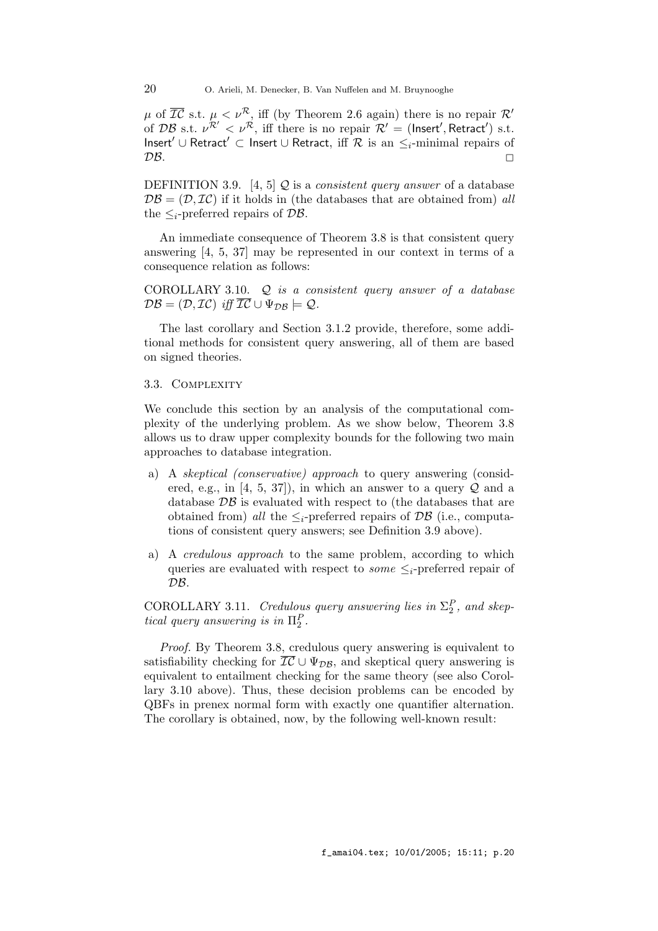$\mu$  of  $\overline{IC}$  s.t.  $\mu < \nu^{\mathcal{R}}$ , iff (by Theorem 2.6 again) there is no repair  $\mathcal{R}'$ of DB s.t.  $\nu^{\mathcal{R}'} < \nu^{\mathcal{R}}$ , iff there is no repair  $\mathcal{R}' =$  (lnsert', Retract') s.t. Insert' ∪ Retract' ⊂ Insert ∪ Retract, iff  $R$  is an  $\leq_i$ -minimal repairs of  $\mathcal{DB}.$ 

DEFINITION 3.9. [4, 5]  $Q$  is a *consistent query answer* of a database  $\mathcal{DB} = (\mathcal{D}, \mathcal{IC})$  if it holds in (the databases that are obtained from) all the  $\leq_i$ -preferred repairs of  $\mathcal{DB}$ .

An immediate consequence of Theorem 3.8 is that consistent query answering [4, 5, 37] may be represented in our context in terms of a consequence relation as follows:

COROLLARY 3.10.  $Q$  is a consistent query answer of a database  $\mathcal{DB} = (\mathcal{D}, \mathcal{IC})$  iff  $\overline{\mathcal{IC}} \cup \Psi_{\mathcal{DB}} \models \mathcal{Q}.$ 

The last corollary and Section 3.1.2 provide, therefore, some additional methods for consistent query answering, all of them are based on signed theories.

#### 3.3. COMPLEXITY

We conclude this section by an analysis of the computational complexity of the underlying problem. As we show below, Theorem 3.8 allows us to draw upper complexity bounds for the following two main approaches to database integration.

- a) A skeptical (conservative) approach to query answering (considered, e.g., in [4, 5, 37]), in which an answer to a query  $\mathcal Q$  and a database  $\mathcal{DB}$  is evaluated with respect to (the databases that are obtained from) all the  $\leq_i$ -preferred repairs of DB (i.e., computations of consistent query answers; see Definition 3.9 above).
- a) A credulous approach to the same problem, according to which queries are evaluated with respect to *some*  $\leq_i$ -preferred repair of  $\mathcal{D}\mathcal{B}.$

COROLLARY 3.11. Credulous query answering lies in  $\Sigma_2^P$ , and skeptical query answering is in  $\Pi_2^P$ .

Proof. By Theorem 3.8, credulous query answering is equivalent to satisfiability checking for  $\overline{IC} \cup \Psi_{DB}$ , and skeptical query answering is equivalent to entailment checking for the same theory (see also Corollary 3.10 above). Thus, these decision problems can be encoded by QBFs in prenex normal form with exactly one quantifier alternation. The corollary is obtained, now, by the following well-known result: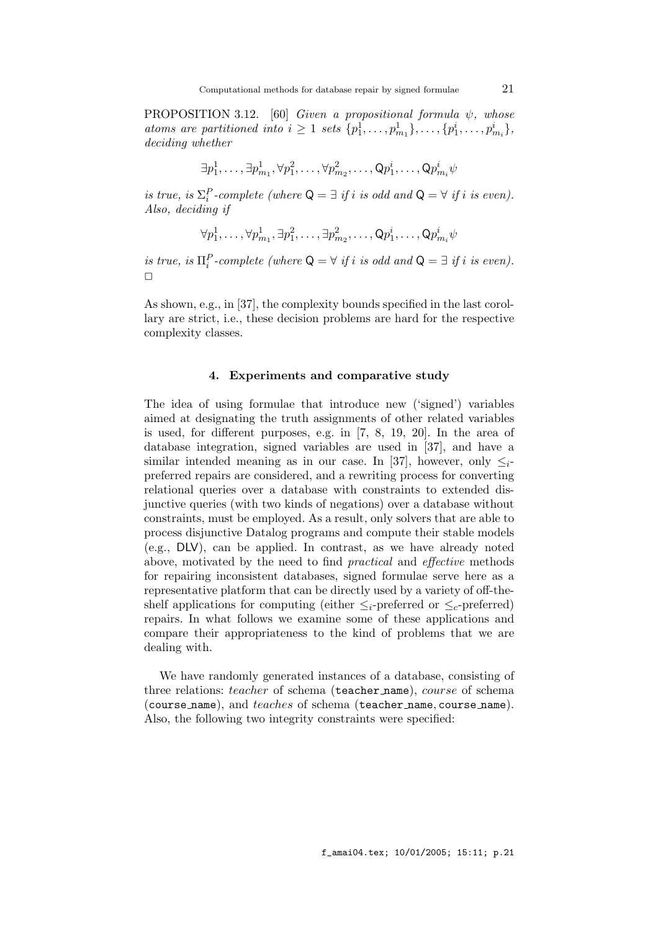PROPOSITION 3.12. [60] Given a propositional formula  $\psi$ , whose atoms are partitioned into  $i \geq 1$  sets  $\{p_1^1, \ldots, p_{m_1}^1\}, \ldots, \{p_1^i, \ldots, p_{m_i}^i\},\$ deciding whether

$$
\exists p^1_1,\ldots,\exists p^1_{m_1},\forall p^2_1,\ldots,\forall p^2_{m_2},\ldots,\mathsf{Q} p^i_1,\ldots,\mathsf{Q} p^i_{m_i}\psi
$$

is true, is  $\Sigma_i^P$ -complete (where  $Q = \exists$  if i is odd and  $Q = \forall$  if i is even). Also, deciding if

$$
\forall p_1^1, \ldots, \forall p_{m_1}^1, \exists p_1^2, \ldots, \exists p_{m_2}^2, \ldots, \mathsf{Q} p_1^i, \ldots, \mathsf{Q} p_{m_i}^i \psi
$$

is true, is  $\Pi_i^P$ -complete (where  $Q = \forall$  if i is odd and  $Q = \exists$  if i is even).  $\Box$ 

As shown, e.g., in [37], the complexity bounds specified in the last corollary are strict, i.e., these decision problems are hard for the respective complexity classes.

#### 4. Experiments and comparative study

The idea of using formulae that introduce new ('signed') variables aimed at designating the truth assignments of other related variables is used, for different purposes, e.g. in [7, 8, 19, 20]. In the area of database integration, signed variables are used in [37], and have a similar intended meaning as in our case. In [37], however, only  $\leq_i$ preferred repairs are considered, and a rewriting process for converting relational queries over a database with constraints to extended disjunctive queries (with two kinds of negations) over a database without constraints, must be employed. As a result, only solvers that are able to process disjunctive Datalog programs and compute their stable models (e.g., DLV), can be applied. In contrast, as we have already noted above, motivated by the need to find practical and effective methods for repairing inconsistent databases, signed formulae serve here as a representative platform that can be directly used by a variety of off-theshelf applications for computing (either  $\leq_i$ -preferred or  $\leq_c$ -preferred) repairs. In what follows we examine some of these applications and compare their appropriateness to the kind of problems that we are dealing with.

We have randomly generated instances of a database, consisting of three relations: *teacher* of schema (**teacher\_name**), *course* of schema (course name), and  $teaches$  of schema (teacher name, course name). Also, the following two integrity constraints were specified: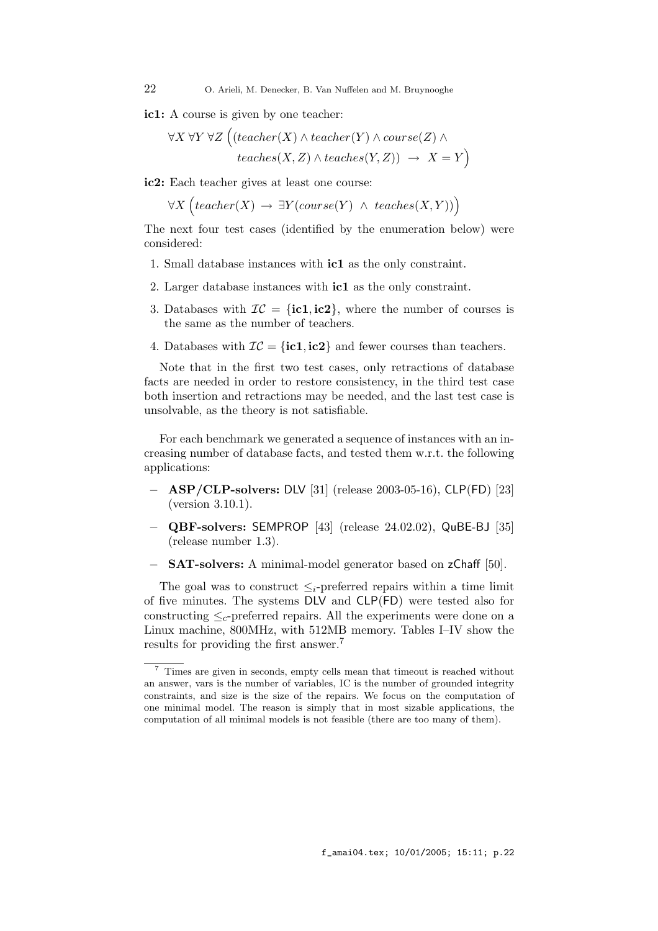ic1: A course is given by one teacher:

$$
\forall X \forall Y \forall Z \left( (teacher(X) \land teacher(Y) \land course(Z) \land\right. \\
\left. \downarrow\right) \left. \downarrow\right) \left. \downarrow\right) \left. \downarrow\right) \left. \downarrow\right)
$$
\n
$$
teaches(X, Z) \land teaches(Y, Z)) \rightarrow X = Y
$$

ic2: Each teacher gives at least one course:

 $\forall X \left( teacher(X) \rightarrow \exists Y (course(Y) \land teaches(X, Y)) \right)$ 

The next four test cases (identified by the enumeration below) were considered:

- 1. Small database instances with ic1 as the only constraint.
- 2. Larger database instances with ic1 as the only constraint.
- 3. Databases with  $\mathcal{IC} = \{\textbf{ic1}, \textbf{ic2}\}\,$ , where the number of courses is the same as the number of teachers.
- 4. Databases with  $IC = \{ic1, ic2\}$  and fewer courses than teachers.

Note that in the first two test cases, only retractions of database facts are needed in order to restore consistency, in the third test case both insertion and retractions may be needed, and the last test case is unsolvable, as the theory is not satisfiable.

For each benchmark we generated a sequence of instances with an increasing number of database facts, and tested them w.r.t. the following applications:

- − ASP/CLP-solvers: DLV [31] (release 2003-05-16), CLP(FD) [23] (version 3.10.1).
- − QBF-solvers: SEMPROP [43] (release 24.02.02), QuBE-BJ [35] (release number 1.3).
- − SAT-solvers: A minimal-model generator based on zChaff [50].

The goal was to construct  $\leq_i$ -preferred repairs within a time limit of five minutes. The systems DLV and CLP(FD) were tested also for constructing  $\leq_c$ -preferred repairs. All the experiments were done on a Linux machine, 800MHz, with 512MB memory. Tables I–IV show the results for providing the first answer.<sup>7</sup>

f\_amai04.tex; 10/01/2005; 15:11; p.22

<sup>7</sup> Times are given in seconds, empty cells mean that timeout is reached without an answer, vars is the number of variables, IC is the number of grounded integrity constraints, and size is the size of the repairs. We focus on the computation of one minimal model. The reason is simply that in most sizable applications, the computation of all minimal models is not feasible (there are too many of them).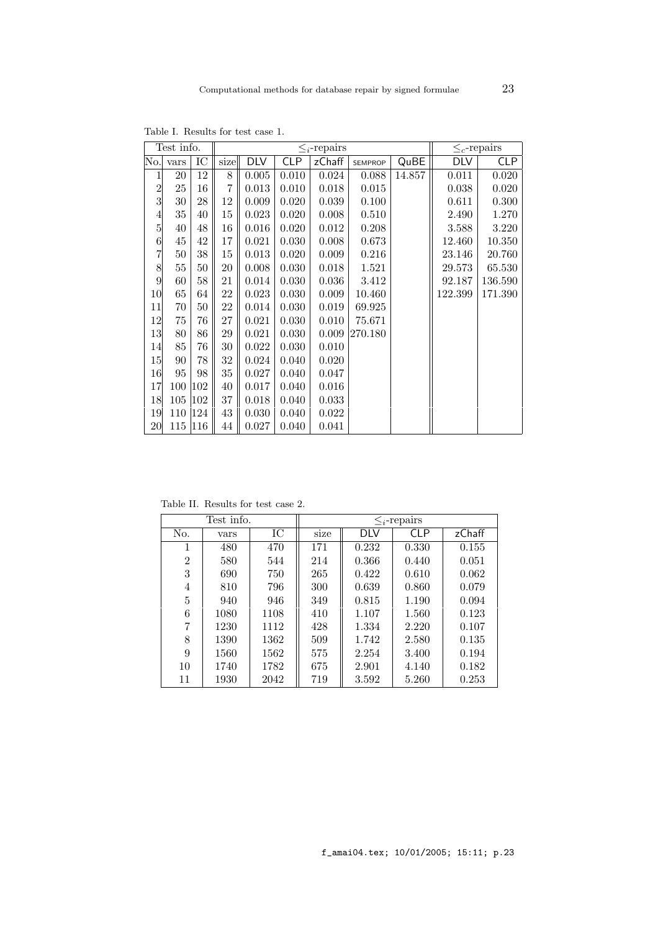|                  | Test info. | $\leq_i$ -repairs |        |            |           |        |                | $\leq_c$ -repairs |         |         |
|------------------|------------|-------------------|--------|------------|-----------|--------|----------------|-------------------|---------|---------|
| No.              | vars       | IC                | size   | <b>DLV</b> | CLP       | zChaff | <b>SEMPROP</b> | QuBE              | DLV     | CLP     |
|                  | 20         | 12                | 8      | 0.005      | 0.010     | 0.024  | 0.088          | 14.857            | 0.011   | 0.020   |
| $\overline{c}$   | 25         | 16                | 7      | 0.013      | 0.010     | 0.018  | 0.015          |                   | 0.038   | 0.020   |
| 3                | $30\,$     | 28                | $12\,$ | 0.009      | 0.020     | 0.039  | $0.100\,$      |                   | 0.611   | 0.300   |
| 4                | 35         | 40                | 15     | 0.023      | 0.020     | 0.008  | 0.510          |                   | 2.490   | 1.270   |
| $\overline{5}$   | 40         | 48                | 16     | 0.016      | 0.020     | 0.012  | 0.208          |                   | 3.588   | 3.220   |
| 6                | $45\,$     | 42                | 17     | 0.021      | 0.030     | 0.008  | 0.673          |                   | 12.460  | 10.350  |
| $\overline{7}$   | 50         | 38                | 15     | 0.013      | 0.020     | 0.009  | 0.216          |                   | 23.146  | 20.760  |
| 8                | $55\,$     | 50                | 20     | 0.008      | 0.030     | 0.018  | 1.521          |                   | 29.573  | 65.530  |
| $\boldsymbol{9}$ | 60         | 58                | 21     | 0.014      | 0.030     | 0.036  | 3.412          |                   | 92.187  | 136.590 |
| 10               | 65         | 64                | 22     | 0.023      | 0.030     | 0.009  | 10.460         |                   | 122.399 | 171.390 |
| 11               | 70         | 50                | 22     | 0.014      | 0.030     | 0.019  | 69.925         |                   |         |         |
| 12               | 75         | 76                | 27     | 0.021      | 0.030     | 0.010  | 75.671         |                   |         |         |
| 13               | 80         | 86                | $\,29$ | 0.021      | 0.030     | 0.009  | 270.180        |                   |         |         |
| 14               | 85         | 76                | $30\,$ | 0.022      | $0.030\,$ | 0.010  |                |                   |         |         |
| 15               | 90         | 78                | 32     | 0.024      | 0.040     | 0.020  |                |                   |         |         |
| 16               | 95         | 98                | 35     | 0.027      | 0.040     | 0.047  |                |                   |         |         |
| 17               | 100        | 102               | 40     | 0.017      | 0.040     | 0.016  |                |                   |         |         |
| 18               | 105 102    |                   | 37     | 0.018      | 0.040     | 0.033  |                |                   |         |         |
| 19               | 110 124    |                   | 43     | 0.030      | 0.040     | 0.022  |                |                   |         |         |
| 20               | 115        | 116               | 44     | 0.027      | 0.040     | 0.041  |                |                   |         |         |

Table I. Results for test case 1.

Table II. Results for test case 2.

|                | Test info. |      | $\leq_i$ -repairs |       |            |        |  |
|----------------|------------|------|-------------------|-------|------------|--------|--|
| No.            | vars       | IC   | size              | DLV   | <b>CLP</b> | zChaff |  |
| 1              | 480        | 470  | 171               | 0.232 | 0.330      | 0.155  |  |
| $\overline{2}$ | 580        | 544  | 214               | 0.366 | 0.440      | 0.051  |  |
| 3              | 690        | 750  | 265               | 0.422 | 0.610      | 0.062  |  |
| 4              | 810        | 796  | 300               | 0.639 | 0.860      | 0.079  |  |
| 5              | 940        | 946  | 349               | 0.815 | 1.190      | 0.094  |  |
| 6              | 1080       | 1108 | 410               | 1.107 | 1.560      | 0.123  |  |
| 7              | 1230       | 1112 | 428               | 1.334 | 2.220      | 0.107  |  |
| 8              | 1390       | 1362 | 509               | 1.742 | 2.580      | 0.135  |  |
| 9              | 1560       | 1562 | 575               | 2.254 | 3.400      | 0.194  |  |
| 10             | 1740       | 1782 | 675               | 2.901 | 4.140      | 0.182  |  |
| 11             | 1930       | 2042 | 719               | 3.592 | 5.260      | 0.253  |  |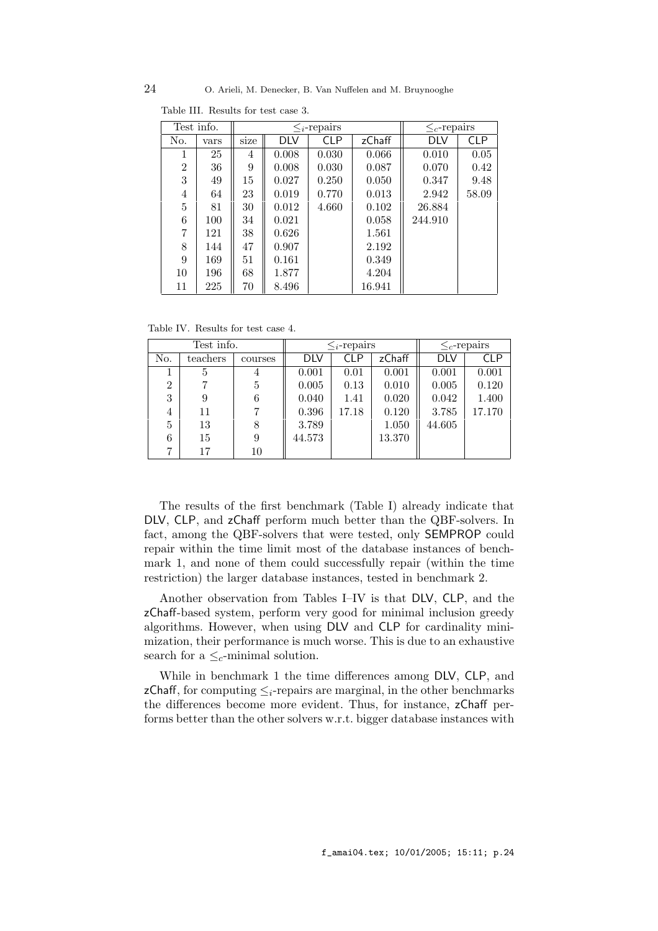|     | Test info. |      | $\lt_i$ -repairs |            |        | $\leq_c$ -repairs |            |
|-----|------------|------|------------------|------------|--------|-------------------|------------|
| No. | vars       | size | DLV              | <b>CLP</b> | zChaff | DLV               | <b>CLP</b> |
| 1   | 25         | 4    | 0.008            | 0.030      | 0.066  | 0.010             | 0.05       |
| 2   | 36         | 9    | 0.008            | 0.030      | 0.087  | 0.070             | 0.42       |
| 3   | 49         | 15   | 0.027            | 0.250      | 0.050  | 0.347             | 9.48       |
| 4   | 64         | 23   | 0.019            | 0.770      | 0.013  | 2.942             | 58.09      |
| 5   | 81         | 30   | 0.012            | 4.660      | 0.102  | 26.884            |            |
| 6   | 100        | 34   | 0.021            |            | 0.058  | 244.910           |            |
| 7   | 121        | 38   | 0.626            |            | 1.561  |                   |            |
| 8   | 144        | 47   | 0.907            |            | 2.192  |                   |            |
| 9   | 169        | 51   | 0.161            |            | 0.349  |                   |            |
| 10  | 196        | 68   | 1.877            |            | 4.204  |                   |            |
| 11  | 225        | 70   | 8.496            |            | 16.941 |                   |            |

Table III. Results for test case 3.

Table IV. Results for test case 4.

|                | Test info. |         |        | $\lt_i$ -repairs | $\leq_c$ -repairs |            |            |
|----------------|------------|---------|--------|------------------|-------------------|------------|------------|
| No.            | teachers   | courses | DLV    | CLP              | zChaff            | <b>DLV</b> | <b>CLP</b> |
|                | 5          | 4       | 0.001  | 0.01             | 0.001             | 0.001      | 0.001      |
| $\overline{2}$ |            | 5       | 0.005  | 0.13             | 0.010             | 0.005      | 0.120      |
| 3              |            | 6       | 0.040  | 1.41             | 0.020             | 0.042      | 1.400      |
| 4              | 11         |         | 0.396  | 17.18            | 0.120             | 3.785      | 17.170     |
| 5              | 13         | 8       | 3.789  |                  | 1.050             | 44.605     |            |
| 6              | 15         | 9       | 44.573 |                  | 13.370            |            |            |
| 7              | 17         | 10      |        |                  |                   |            |            |

The results of the first benchmark (Table I) already indicate that DLV, CLP, and zChaff perform much better than the QBF-solvers. In fact, among the QBF-solvers that were tested, only SEMPROP could repair within the time limit most of the database instances of benchmark 1, and none of them could successfully repair (within the time restriction) the larger database instances, tested in benchmark 2.

Another observation from Tables I–IV is that DLV, CLP, and the zChaff-based system, perform very good for minimal inclusion greedy algorithms. However, when using DLV and CLP for cardinality minimization, their performance is much worse. This is due to an exhaustive search for a  $\leq_c$ -minimal solution.

While in benchmark 1 the time differences among DLV, CLP, and zChaff, for computing  $\leq_i$ -repairs are marginal, in the other benchmarks the differences become more evident. Thus, for instance, zChaff performs better than the other solvers w.r.t. bigger database instances with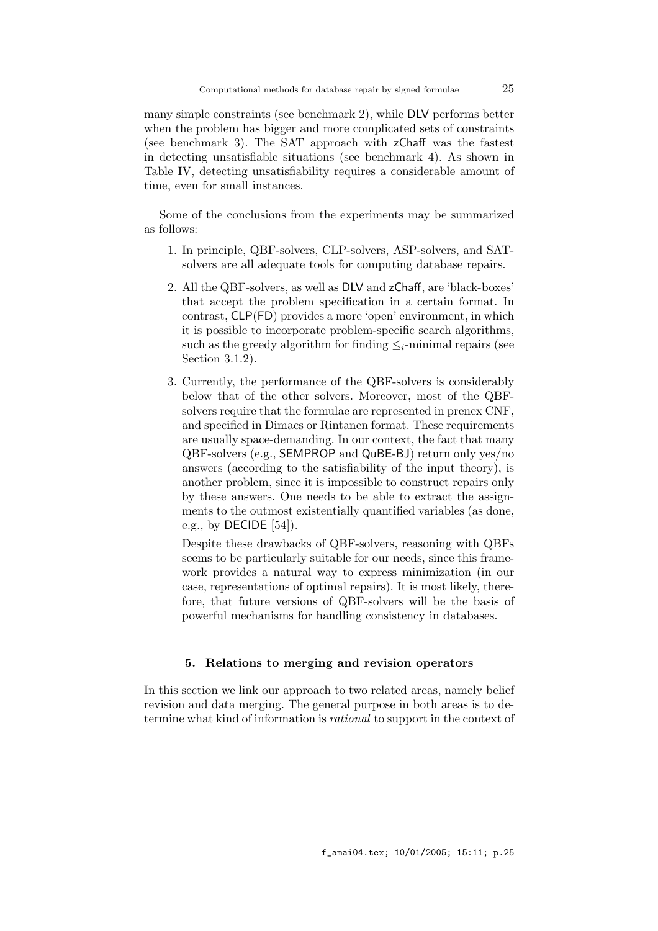many simple constraints (see benchmark 2), while DLV performs better when the problem has bigger and more complicated sets of constraints (see benchmark 3). The SAT approach with zChaff was the fastest in detecting unsatisfiable situations (see benchmark 4). As shown in Table IV, detecting unsatisfiability requires a considerable amount of time, even for small instances.

Some of the conclusions from the experiments may be summarized as follows:

- 1. In principle, QBF-solvers, CLP-solvers, ASP-solvers, and SATsolvers are all adequate tools for computing database repairs.
- 2. All the QBF-solvers, as well as DLV and zChaff, are 'black-boxes' that accept the problem specification in a certain format. In contrast, CLP(FD) provides a more 'open' environment, in which it is possible to incorporate problem-specific search algorithms, such as the greedy algorithm for finding  $\leq_i$ -minimal repairs (see Section 3.1.2).
- 3. Currently, the performance of the QBF-solvers is considerably below that of the other solvers. Moreover, most of the QBFsolvers require that the formulae are represented in prenex CNF, and specified in Dimacs or Rintanen format. These requirements are usually space-demanding. In our context, the fact that many QBF-solvers (e.g., SEMPROP and QuBE-BJ) return only yes/no answers (according to the satisfiability of the input theory), is another problem, since it is impossible to construct repairs only by these answers. One needs to be able to extract the assignments to the outmost existentially quantified variables (as done, e.g., by DECIDE [54]).

Despite these drawbacks of QBF-solvers, reasoning with QBFs seems to be particularly suitable for our needs, since this framework provides a natural way to express minimization (in our case, representations of optimal repairs). It is most likely, therefore, that future versions of QBF-solvers will be the basis of powerful mechanisms for handling consistency in databases.

## 5. Relations to merging and revision operators

In this section we link our approach to two related areas, namely belief revision and data merging. The general purpose in both areas is to determine what kind of information is rational to support in the context of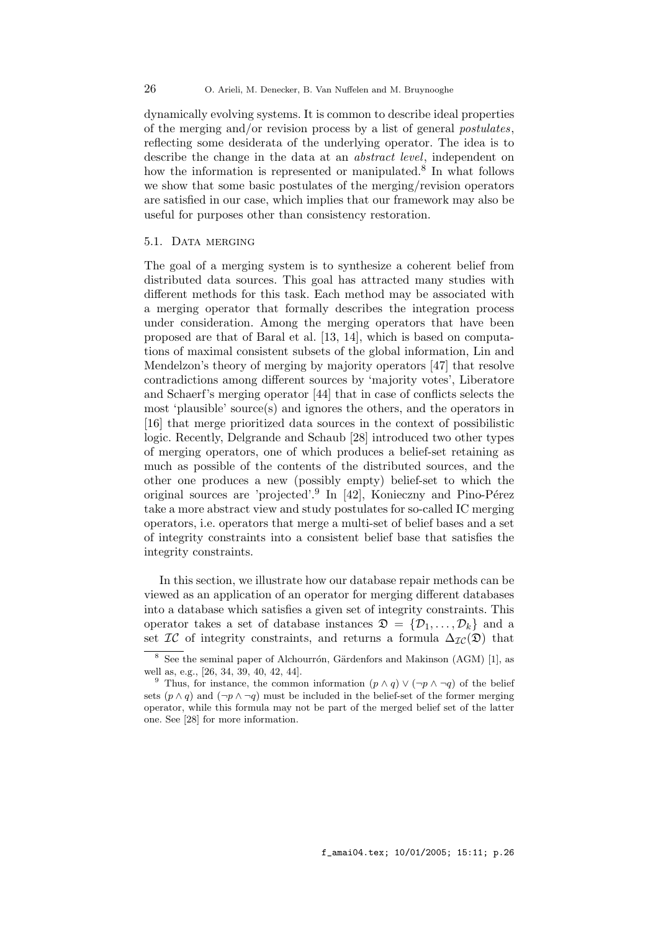dynamically evolving systems. It is common to describe ideal properties of the merging and/or revision process by a list of general postulates, reflecting some desiderata of the underlying operator. The idea is to describe the change in the data at an abstract level, independent on how the information is represented or manipulated.<sup>8</sup> In what follows we show that some basic postulates of the merging/revision operators are satisfied in our case, which implies that our framework may also be useful for purposes other than consistency restoration.

#### 5.1. DATA MERGING

The goal of a merging system is to synthesize a coherent belief from distributed data sources. This goal has attracted many studies with different methods for this task. Each method may be associated with a merging operator that formally describes the integration process under consideration. Among the merging operators that have been proposed are that of Baral et al. [13, 14], which is based on computations of maximal consistent subsets of the global information, Lin and Mendelzon's theory of merging by majority operators [47] that resolve contradictions among different sources by 'majority votes', Liberatore and Schaerf's merging operator [44] that in case of conflicts selects the most 'plausible' source(s) and ignores the others, and the operators in [16] that merge prioritized data sources in the context of possibilistic logic. Recently, Delgrande and Schaub [28] introduced two other types of merging operators, one of which produces a belief-set retaining as much as possible of the contents of the distributed sources, and the other one produces a new (possibly empty) belief-set to which the original sources are 'projected'.<sup>9</sup> In [42], Konieczny and Pino-Pérez take a more abstract view and study postulates for so-called IC merging operators, i.e. operators that merge a multi-set of belief bases and a set of integrity constraints into a consistent belief base that satisfies the integrity constraints.

In this section, we illustrate how our database repair methods can be viewed as an application of an operator for merging different databases into a database which satisfies a given set of integrity constraints. This operator takes a set of database instances  $\mathfrak{D} = \{D_1, \ldots, D_k\}$  and a set  $\mathcal{IC}$  of integrity constraints, and returns a formula  $\Delta_{\mathcal{IC}}(\mathfrak{D})$  that

 $8 \text{ See the seminal paper of Alchourrón, Gärdenfors and Makinson (AGM) [1], as}$ well as, e.g., [26, 34, 39, 40, 42, 44].

<sup>&</sup>lt;sup>9</sup> Thus, for instance, the common information  $(p \wedge q) \vee (\neg p \wedge \neg q)$  of the belief sets  $(p \wedge q)$  and  $(\neg p \wedge \neg q)$  must be included in the belief-set of the former merging operator, while this formula may not be part of the merged belief set of the latter one. See [28] for more information.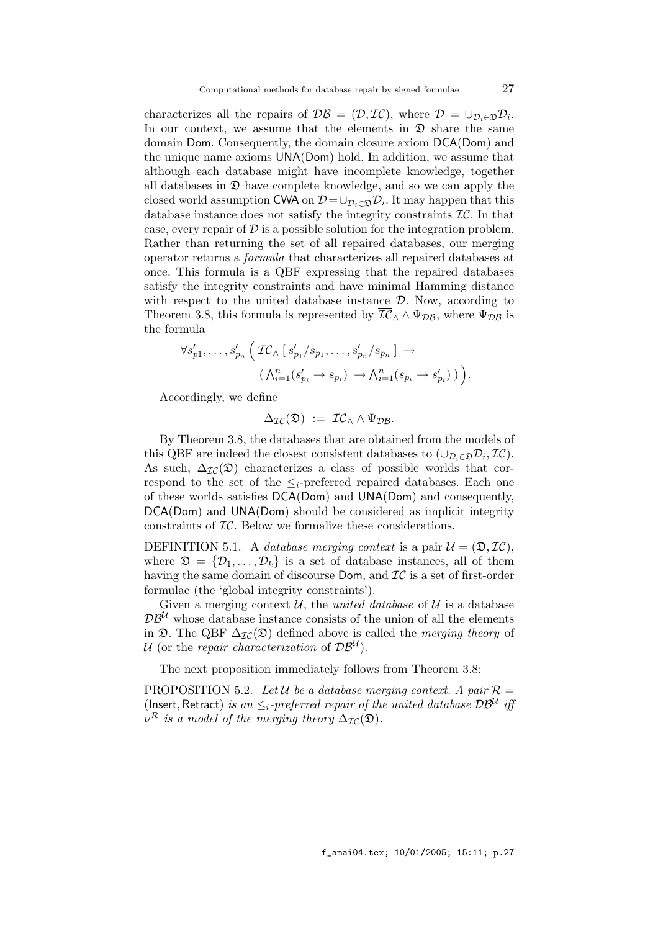characterizes all the repairs of  $\mathcal{DB} = (\mathcal{D}, \mathcal{IC})$ , where  $\mathcal{D} = \cup_{\mathcal{D}_i \in \mathcal{D}} \mathcal{D}_i$ . In our context, we assume that the elements in  $\mathfrak D$  share the same domain Dom. Consequently, the domain closure axiom DCA(Dom) and the unique name axioms UNA(Dom) hold. In addition, we assume that although each database might have incomplete knowledge, together all databases in  $\mathfrak D$  have complete knowledge, and so we can apply the closed world assumption CWA on  $\mathcal{D} = \cup_{\mathcal{D}_i \in \mathfrak{D}} \mathcal{D}_i$ . It may happen that this database instance does not satisfy the integrity constraints  $\mathcal{IC}$ . In that case, every repair of  $\mathcal D$  is a possible solution for the integration problem. Rather than returning the set of all repaired databases, our merging operator returns a formula that characterizes all repaired databases at once. This formula is a QBF expressing that the repaired databases satisfy the integrity constraints and have minimal Hamming distance with respect to the united database instance  $\mathcal{D}$ . Now, according to Theorem 3.8, this formula is represented by  $\overline{IC}_\wedge \wedge \Psi_{\mathcal{DB}}$ , where  $\Psi_{\mathcal{DB}}$  is the formula

$$
\forall s'_{p1}, \ldots, s'_{p_n} \left( \overline{\mathcal{IC}}_{\wedge} \left[ s'_{p1} / s_{p1}, \ldots, s'_{p_n} / s_{p_n} \right] \rightarrow \right. \left. \left( \bigwedge_{i=1}^n (s'_{p_i} \rightarrow s_{p_i}) \rightarrow \bigwedge_{i=1}^n (s_{p_i} \rightarrow s'_{p_i}) \right) \right).
$$

Accordingly, we define

$$
\Delta_{\mathcal{IC}}(\mathfrak{D}) \; := \; \overline{\mathcal{IC}}_{\wedge} \wedge \Psi_{\mathcal{DB}}.
$$

By Theorem 3.8, the databases that are obtained from the models of this QBF are indeed the closest consistent databases to  $(\cup_{\mathcal{D}_i \in \mathcal{D}} \mathcal{D}_i, \mathcal{I}\mathcal{C})$ . As such,  $\Delta_{\mathcal{IC}}(\mathfrak{D})$  characterizes a class of possible worlds that correspond to the set of the  $\leq_i$ -preferred repaired databases. Each one of these worlds satisfies DCA(Dom) and UNA(Dom) and consequently, DCA(Dom) and UNA(Dom) should be considered as implicit integrity constraints of IC. Below we formalize these considerations.

DEFINITION 5.1. A database merging context is a pair  $\mathcal{U} = (\mathfrak{D}, \mathcal{IC}),$ where  $\mathfrak{D} = {\mathcal{D}_1, \ldots, \mathcal{D}_k}$  is a set of database instances, all of them having the same domain of discourse  $Dom$ , and  $TC$  is a set of first-order formulae (the 'global integrity constraints').

Given a merging context  $\mathcal{U}$ , the *united database* of  $\mathcal{U}$  is a database  $\mathcal{DB}^{\mathcal{U}}$  whose database instance consists of the union of all the elements in  $\mathfrak{D}$ . The QBF  $\Delta_{\mathcal{IC}}(\mathfrak{D})$  defined above is called the *merging theory* of U (or the repair characterization of  $DB^U$ ).

The next proposition immediately follows from Theorem 3.8:

PROPOSITION 5.2. Let U be a database merging context. A pair  $\mathcal{R} =$ (Insert, Retract) is an  $\leq_i$ -preferred repair of the united database  $\mathcal{DB}^\mathcal{U}$  iff  $\nu^{\mathcal{R}}$  is a model of the merging theory  $\Delta_{\mathcal{IC}}(\mathfrak{D})$ .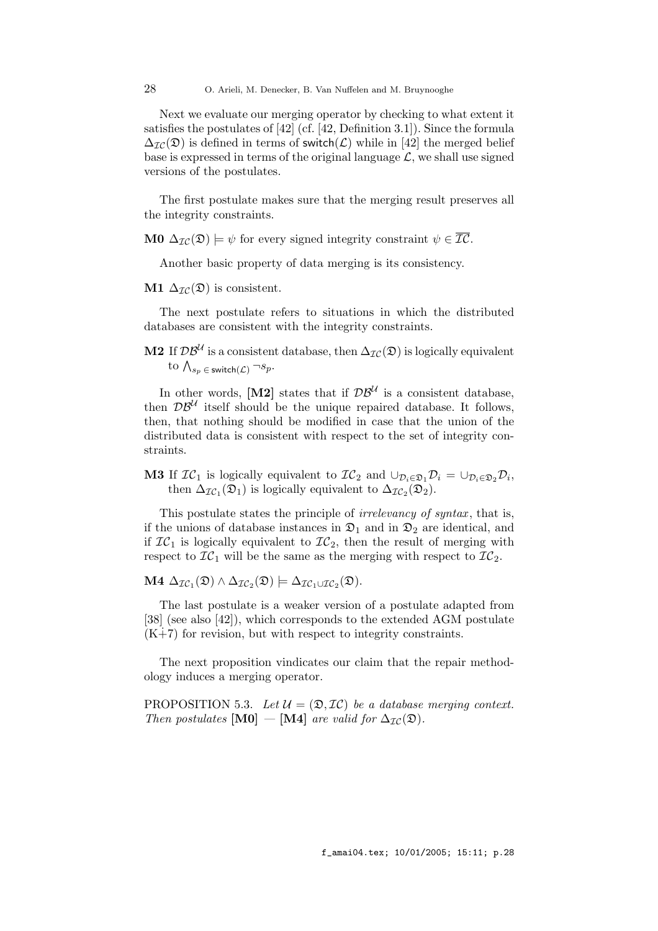28 O. Arieli, M. Denecker, B. Van Nuffelen and M. Bruynooghe

Next we evaluate our merging operator by checking to what extent it satisfies the postulates of [42] (cf. [42, Definition 3.1]). Since the formula  $\Delta_{\mathcal{IC}}(\mathfrak{D})$  is defined in terms of switch( $\mathcal{L}$ ) while in [42] the merged belief base is expressed in terms of the original language  $\mathcal{L}$ , we shall use signed versions of the postulates.

The first postulate makes sure that the merging result preserves all the integrity constraints.

**M0**  $\Delta_{\mathcal{IC}}(\mathfrak{D}) \models \psi$  for every signed integrity constraint  $\psi \in \overline{\mathcal{IC}}$ .

Another basic property of data merging is its consistency.

M1  $\Delta_{\mathcal{IC}}(\mathfrak{D})$  is consistent.

The next postulate refers to situations in which the distributed databases are consistent with the integrity constraints.

M2 If  $\mathcal{DB}^{\mathcal{U}}$  is a consistent database, then  $\Delta_{\mathcal{IC}}(\mathfrak{D})$  is logically equivalent to  $\bigwedge_{s_p \in \mathsf{switch}(\mathcal{L})} \neg s_p$ .

In other words, [M2] states that if  $\mathcal{DB}^{\mathcal{U}}$  is a consistent database, then  $\mathcal{DB}^{\mathcal{U}}$  itself should be the unique repaired database. It follows, then, that nothing should be modified in case that the union of the distributed data is consistent with respect to the set of integrity constraints.

**M3** If  $IC_1$  is logically equivalent to  $IC_2$  and  $\cup_{\mathcal{D}_i \in \mathfrak{D}_1} \mathcal{D}_i = \cup_{\mathcal{D}_i \in \mathfrak{D}_2} \mathcal{D}_i$ , then  $\Delta_{\mathcal{IC}_1}(\mathfrak{D}_1)$  is logically equivalent to  $\Delta_{\mathcal{IC}_2}(\mathfrak{D}_2)$ .

This postulate states the principle of *irrelevancy of syntax*, that is, if the unions of database instances in  $\mathfrak{D}_1$  and in  $\mathfrak{D}_2$  are identical, and if  $IC_1$  is logically equivalent to  $IC_2$ , then the result of merging with respect to  $\mathcal{IC}_1$  will be the same as the merging with respect to  $\mathcal{IC}_2$ .

M4  $\Delta_{\mathcal{IC}_1}(\mathfrak{D}) \wedge \Delta_{\mathcal{IC}_2}(\mathfrak{D}) \models \Delta_{\mathcal{IC}_1 \cup \mathcal{IC}_2}(\mathfrak{D}).$ 

The last postulate is a weaker version of a postulate adapted from [38] (see also [42]), which corresponds to the extended AGM postulate  $(K+7)$  for revision, but with respect to integrity constraints.

The next proposition vindicates our claim that the repair methodology induces a merging operator.

PROPOSITION 5.3. Let  $\mathcal{U} = (\mathfrak{D}, \mathcal{I}\mathcal{C})$  be a database merging context. Then postulates  $[M0] - [M4]$  are valid for  $\Delta_{\mathcal{IC}}(\mathfrak{D})$ .

f\_amai04.tex; 10/01/2005; 15:11; p.28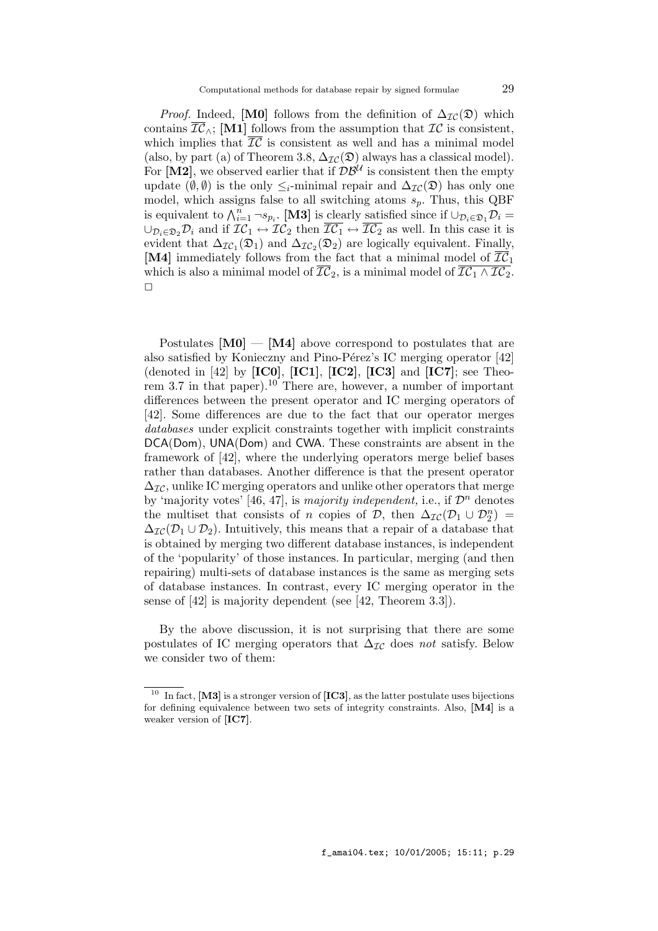*Proof.* Indeed, [M0] follows from the definition of  $\Delta_{\mathcal{IC}}(\mathfrak{D})$  which contains  $\overline{\mathcal{IC}}$ <sub>∧</sub>; [M1] follows from the assumption that  $\mathcal{IC}$  is consistent, which implies that  $\overline{\mathcal{IC}}$  is consistent as well and has a minimal model (also, by part (a) of Theorem 3.8,  $\Delta_{\mathcal{IC}}(\mathfrak{D})$  always has a classical model). For [M2], we observed earlier that if  $\mathcal{DB}^{\mathcal{U}}$  is consistent then the empty update  $(\emptyset, \emptyset)$  is the only  $\leq_i$ -minimal repair and  $\Delta_{\mathcal{IC}}(\mathfrak{D})$  has only one model, which assigns false to all switching atoms  $s_n$ . Thus, this QBF is equivalent to  $\bigwedge_{i=1}^{n} \neg s_{p_i}$ . [M3] is clearly satisfied since if  $\cup_{\mathcal{D}_i \in \mathfrak{D}_1} \mathcal{D}_i =$  $\cup_{\mathcal{D}_i\in\mathcal{D}_2}\mathcal{D}_i$  and if  $IC_1 \leftrightarrow \mathcal{IC}_2$  then  $\overline{IC_1} \leftrightarrow \overline{IC_2}$  as well. In this case it is evident that  $\Delta_{\mathcal{IC}_1}(\mathfrak{D}_1)$  and  $\Delta_{\mathcal{IC}_2}(\mathfrak{D}_2)$  are logically equivalent. Finally, [M4] immediately follows from the fact that a minimal model of  $\overline{\mathcal{IC}}_1$ which is also a minimal model of  $\overline{\mathcal{IC}}_2$ , is a minimal model of  $\overline{\mathcal{IC}_1 \wedge \mathcal{IC}_2}$ .  $\Box$ 

Postulates  $[M0] - [M4]$  above correspond to postulates that are also satisfied by Konieczny and Pino-Pérez's IC merging operator  $[42]$ (denoted in [42] by  $[IC0]$ ,  $[IC1]$ ,  $[IC2]$ ,  $[IC3]$  and  $[IC7]$ ; see Theorem 3.7 in that paper).<sup>10</sup> There are, however, a number of important differences between the present operator and IC merging operators of [42]. Some differences are due to the fact that our operator merges databases under explicit constraints together with implicit constraints DCA(Dom), UNA(Dom) and CWA. These constraints are absent in the framework of [42], where the underlying operators merge belief bases rather than databases. Another difference is that the present operator  $\Delta_{\mathcal{IC}}$ , unlike IC merging operators and unlike other operators that merge by 'majority votes' [46, 47], is majority independent, i.e., if  $\mathcal{D}^n$  denotes the multiset that consists of n copies of  $\mathcal{D}$ , then  $\Delta_{\mathcal{IC}}(\mathcal{D}_1 \cup \mathcal{D}_2^n) =$  $\Delta_{\mathcal{IC}}(\mathcal{D}_1 \cup \mathcal{D}_2)$ . Intuitively, this means that a repair of a database that is obtained by merging two different database instances, is independent of the 'popularity' of those instances. In particular, merging (and then repairing) multi-sets of database instances is the same as merging sets of database instances. In contrast, every IC merging operator in the sense of [42] is majority dependent (see [42, Theorem 3.3]).

By the above discussion, it is not surprising that there are some postulates of IC merging operators that  $\Delta_{\mathcal{IC}}$  does not satisfy. Below we consider two of them:

<sup>&</sup>lt;sup>10</sup> In fact, [M3] is a stronger version of [IC3], as the latter postulate uses bijections for defining equivalence between two sets of integrity constraints. Also, [M4] is a weaker version of [IC7].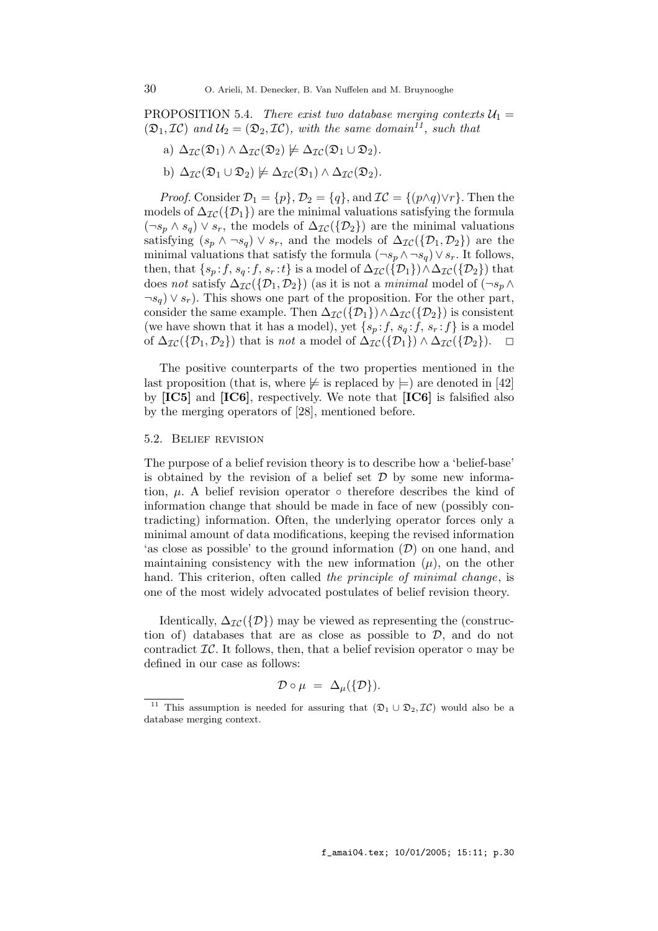PROPOSITION 5.4. There exist two database merging contexts  $U_1 =$  $(\mathfrak{D}_1, \mathcal{I}\mathcal{C})$  and  $\mathcal{U}_2 = (\mathfrak{D}_2, \mathcal{I}\mathcal{C})$ , with the same domain<sup>11</sup>, such that

- a)  $\Delta_{\mathcal{IC}}(\mathfrak{D}_1) \wedge \Delta_{\mathcal{IC}}(\mathfrak{D}_2) \not\models \Delta_{\mathcal{IC}}(\mathfrak{D}_1 \cup \mathfrak{D}_2).$
- b)  $\Delta_{\mathcal{IC}}(\mathfrak{D}_1 \cup \mathfrak{D}_2) \not\models \Delta_{\mathcal{IC}}(\mathfrak{D}_1) \wedge \Delta_{\mathcal{IC}}(\mathfrak{D}_2).$

*Proof.* Consider  $\mathcal{D}_1 = \{p\}, \mathcal{D}_2 = \{q\}, \text{ and } \mathcal{IC} = \{(p \land q) \lor r\}.$  Then the models of  $\Delta_{\mathcal{IC}}(\{\mathcal{D}_1\})$  are the minimal valuations satisfying the formula  $(\neg s_p \land s_q) \lor s_r$ , the models of  $\Delta_{\mathcal{IC}}(\{\mathcal{D}_2\})$  are the minimal valuations satisfying  $(s_p \wedge \neg s_q) \vee s_r$ , and the models of  $\Delta_{\mathcal{IC}}(\{\mathcal{D}_1, \mathcal{D}_2\})$  are the minimal valuations that satisfy the formula  $(\neg s_p \land \neg s_q) \lor s_r$ . It follows, then, that  $\{s_p : f, s_q : f, s_r : t\}$  is a model of  $\Delta_{\mathcal{IC}}(\{\mathcal{D}_1\}) \wedge \Delta_{\mathcal{IC}}(\{\mathcal{D}_2\})$  that does not satisfy  $\Delta_{\mathcal{IC}}(\{\mathcal{D}_1, \mathcal{D}_2\})$  (as it is not a minimal model of  $(\neg s_p \land \neg s_p \land \neg s_p \land \neg s_p \land \neg s_p \land \neg s_p \land \neg s_p \land \neg s_p \land \neg s_p \land \neg s_p \land \neg s_p \land \neg s_p \land \neg s_p \land \neg s_p \land \neg s_p \land \neg s_p \land \neg s_p \land \neg s_p \land \neg s_p \land \neg s_p \land \neg s_p \land \neg s_p \land \neg s_p \land \neg$  $\neg s_q$ )  $\vee s_r$ ). This shows one part of the proposition. For the other part, consider the same example. Then  $\Delta_{\mathcal{IC}}(\{\mathcal{D}_1\}) \wedge \Delta_{\mathcal{IC}}(\{\mathcal{D}_2\})$  is consistent (we have shown that it has a model), yet  $\{s_p : f, s_q : f, s_r : f\}$  is a model of  $\Delta_{\mathcal{IC}}(\{\mathcal{D}_1, \mathcal{D}_2\})$  that is not a model of  $\Delta_{\mathcal{IC}}(\{\mathcal{D}_1\}) \wedge \Delta_{\mathcal{IC}}(\{\mathcal{D}_2\})$ .  $\square$ 

The positive counterparts of the two properties mentioned in the last proposition (that is, where  $\not\vDash$  is replaced by  $\models$ ) are denoted in [42] by [IC5] and [IC6], respectively. We note that [IC6] is falsified also by the merging operators of [28], mentioned before.

#### 5.2. Belief revision

The purpose of a belief revision theory is to describe how a 'belief-base' is obtained by the revision of a belief set  $D$  by some new information,  $\mu$ . A belief revision operator  $\circ$  therefore describes the kind of information change that should be made in face of new (possibly contradicting) information. Often, the underlying operator forces only a minimal amount of data modifications, keeping the revised information 'as close as possible' to the ground information  $(\mathcal{D})$  on one hand, and maintaining consistency with the new information  $(\mu)$ , on the other hand. This criterion, often called the principle of minimal change, is one of the most widely advocated postulates of belief revision theory.

Identically,  $\Delta_{\mathcal{IC}}(\{\mathcal{D}\})$  may be viewed as representing the (construction of) databases that are as close as possible to  $\mathcal{D}$ , and do not contradict  $\mathcal{IC}$ . It follows, then, that a belief revision operator  $\circ$  may be defined in our case as follows:

$$
\mathcal{D}\circ\mu\;=\;\Delta_{\mu}(\{\mathcal{D}\}).
$$

<sup>&</sup>lt;sup>11</sup> This assumption is needed for assuring that  $(\mathfrak{D}_1 \cup \mathfrak{D}_2, \mathcal{IC})$  would also be a database merging context.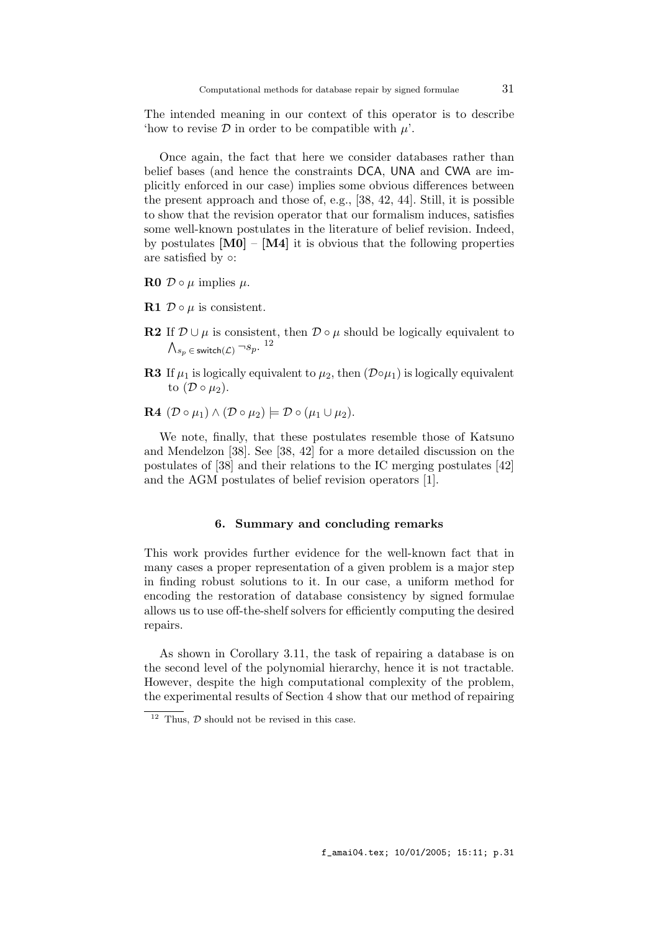The intended meaning in our context of this operator is to describe 'how to revise  $\mathcal D$  in order to be compatible with  $\mu'$ .

Once again, the fact that here we consider databases rather than belief bases (and hence the constraints DCA, UNA and CWA are implicitly enforced in our case) implies some obvious differences between the present approach and those of, e.g., [38, 42, 44]. Still, it is possible to show that the revision operator that our formalism induces, satisfies some well-known postulates in the literature of belief revision. Indeed, by postulates  $[M0] - [M4]$  it is obvious that the following properties are satisfied by  $\circ$ :

- $\bf R0 \not\supset \circ \mu$  implies  $\mu$ .
- R1  $\mathcal{D} \circ \mu$  is consistent.
- R2 If  $\mathcal{D} \cup \mu$  is consistent, then  $\mathcal{D} \circ \mu$  should be logically equivalent to  $\bigwedge_{s_p\;\in\; \mathsf{switch}(\mathcal{L})} \neg s_p.$   $^{12}$
- **R3** If  $\mu_1$  is logically equivalent to  $\mu_2$ , then  $(\mathcal{D} \circ \mu_1)$  is logically equivalent to  $(D \circ \mu_2)$ .
- $\mathbf{R4}$   $(\mathcal{D} \circ \mu_1) \wedge (\mathcal{D} \circ \mu_2) \models \mathcal{D} \circ (\mu_1 \cup \mu_2).$

We note, finally, that these postulates resemble those of Katsuno and Mendelzon [38]. See [38, 42] for a more detailed discussion on the postulates of [38] and their relations to the IC merging postulates [42] and the AGM postulates of belief revision operators [1].

#### 6. Summary and concluding remarks

This work provides further evidence for the well-known fact that in many cases a proper representation of a given problem is a major step in finding robust solutions to it. In our case, a uniform method for encoding the restoration of database consistency by signed formulae allows us to use off-the-shelf solvers for efficiently computing the desired repairs.

As shown in Corollary 3.11, the task of repairing a database is on the second level of the polynomial hierarchy, hence it is not tractable. However, despite the high computational complexity of the problem, the experimental results of Section 4 show that our method of repairing

 $\frac{12}{12}$  Thus,  $\mathcal{D}$  should not be revised in this case.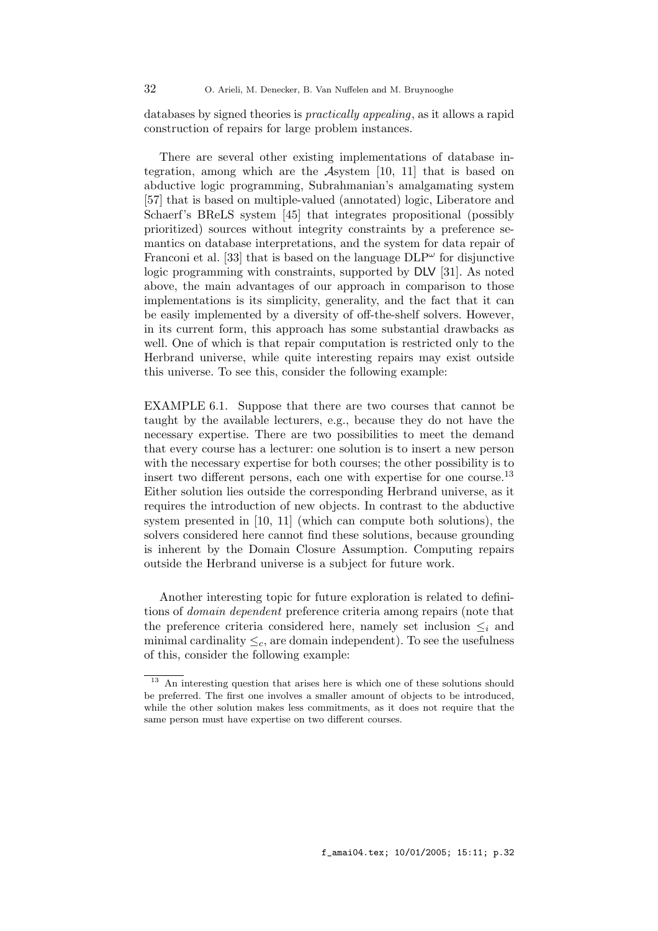databases by signed theories is practically appealing, as it allows a rapid construction of repairs for large problem instances.

There are several other existing implementations of database integration, among which are the Asystem [10, 11] that is based on abductive logic programming, Subrahmanian's amalgamating system [57] that is based on multiple-valued (annotated) logic, Liberatore and Schaerf's BReLS system [45] that integrates propositional (possibly prioritized) sources without integrity constraints by a preference semantics on database interpretations, and the system for data repair of Franconi et al. [33] that is based on the language  $DLP^{\omega}$  for disjunctive logic programming with constraints, supported by DLV [31]. As noted above, the main advantages of our approach in comparison to those implementations is its simplicity, generality, and the fact that it can be easily implemented by a diversity of off-the-shelf solvers. However, in its current form, this approach has some substantial drawbacks as well. One of which is that repair computation is restricted only to the Herbrand universe, while quite interesting repairs may exist outside this universe. To see this, consider the following example:

EXAMPLE 6.1. Suppose that there are two courses that cannot be taught by the available lecturers, e.g., because they do not have the necessary expertise. There are two possibilities to meet the demand that every course has a lecturer: one solution is to insert a new person with the necessary expertise for both courses; the other possibility is to insert two different persons, each one with expertise for one course.<sup>13</sup> Either solution lies outside the corresponding Herbrand universe, as it requires the introduction of new objects. In contrast to the abductive system presented in [10, 11] (which can compute both solutions), the solvers considered here cannot find these solutions, because grounding is inherent by the Domain Closure Assumption. Computing repairs outside the Herbrand universe is a subject for future work.

Another interesting topic for future exploration is related to definitions of domain dependent preference criteria among repairs (note that the preference criteria considered here, namely set inclusion  $\leq_i$  and minimal cardinality  $\leq_c$ , are domain independent). To see the usefulness of this, consider the following example:

<sup>&</sup>lt;sup>13</sup> An interesting question that arises here is which one of these solutions should be preferred. The first one involves a smaller amount of objects to be introduced, while the other solution makes less commitments, as it does not require that the same person must have expertise on two different courses.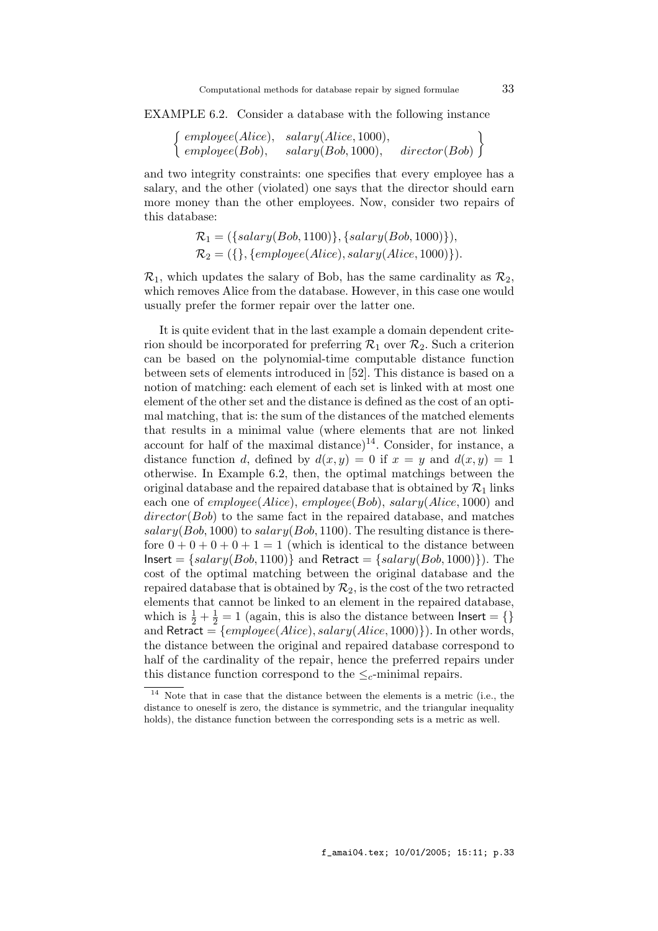EXAMPLE 6.2. Consider a database with the following instance

 $\int$  employee(Alice), salary(Alice, 1000),  $\emph{employee}(Bob), \quad \emph{salary}(Bob, 1000), \quad \emph{directory}(Bob)$  $\left\{\frac{d}{\text{rector}(Bob)}\right\}$ 

and two integrity constraints: one specifies that every employee has a salary, and the other (violated) one says that the director should earn more money than the other employees. Now, consider two repairs of this database:

$$
\mathcal{R}_1 = (\{salary(Bob, 1100)\}, \{salary(Bob, 1000)\}),
$$
  

$$
\mathcal{R}_2 = (\{\}, \{employee(Alice), salary(Alice, 1000)\}).
$$

 $\mathcal{R}_1$ , which updates the salary of Bob, has the same cardinality as  $\mathcal{R}_2$ . which removes Alice from the database. However, in this case one would usually prefer the former repair over the latter one.

It is quite evident that in the last example a domain dependent criterion should be incorporated for preferring  $\mathcal{R}_1$  over  $\mathcal{R}_2$ . Such a criterion can be based on the polynomial-time computable distance function between sets of elements introduced in [52]. This distance is based on a notion of matching: each element of each set is linked with at most one element of the other set and the distance is defined as the cost of an optimal matching, that is: the sum of the distances of the matched elements that results in a minimal value (where elements that are not linked account for half of the maximal distance)<sup>14</sup>. Consider, for instance, a distance function d, defined by  $d(x, y) = 0$  if  $x = y$  and  $d(x, y) = 1$ otherwise. In Example 6.2, then, the optimal matchings between the original database and the repaired database that is obtained by  $\mathcal{R}_1$  links each one of  $employee(Alice)$ ,  $employee(Bob)$ ,  $salary(Alice, 1000)$  and  $\text{directory}(Bob)$  to the same fact in the repaired database, and matches  $salary(Bob, 1000)$  to  $salary(Bob, 1100)$ . The resulting distance is therefore  $0 + 0 + 0 + 0 + 1 = 1$  (which is identical to the distance between  $Insert = {salary(Bob, 1100)}$  and  $Retract = {salary(Bob, 1000)}$ . The cost of the optimal matching between the original database and the repaired database that is obtained by  $\mathcal{R}_2$ , is the cost of the two retracted elements that cannot be linked to an element in the repaired database, which is  $\frac{1}{2} + \frac{1}{2} = 1$  (again, this is also the distance between lnsert = {} and Retract =  $\{employee(Alice), salary(Alice, 1000)\})$ . In other words, the distance between the original and repaired database correspond to half of the cardinality of the repair, hence the preferred repairs under this distance function correspond to the  $\leq_c$ -minimal repairs.

<sup>14</sup> Note that in case that the distance between the elements is a metric (i.e., the distance to oneself is zero, the distance is symmetric, and the triangular inequality holds), the distance function between the corresponding sets is a metric as well.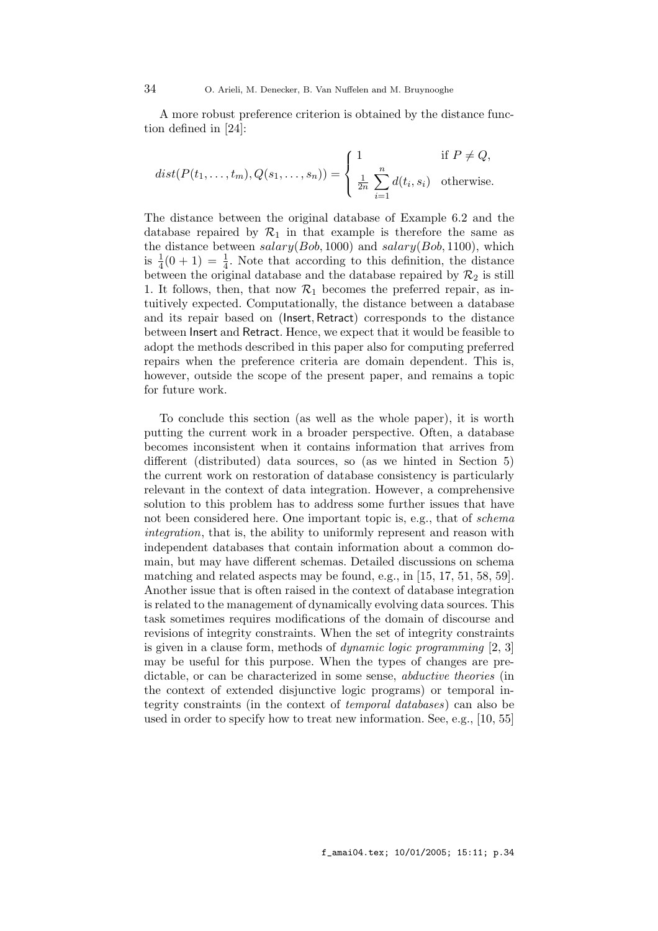A more robust preference criterion is obtained by the distance function defined in [24]:

$$
dist(P(t_1,\ldots,t_m),Q(s_1,\ldots,s_n)) = \begin{cases} 1 & \text{if } P \neq Q, \\ \frac{1}{2n} \sum_{i=1}^n d(t_i,s_i) & \text{otherwise.} \end{cases}
$$

The distance between the original database of Example 6.2 and the database repaired by  $\mathcal{R}_1$  in that example is therefore the same as the distance between  $salary(Bob, 1000)$  and  $salary(Bob, 1100)$ , which is  $\frac{1}{4}(0+1) = \frac{1}{4}$ . Note that according to this definition, the distance between the original database and the database repaired by  $\mathcal{R}_2$  is still 1. It follows, then, that now  $\mathcal{R}_1$  becomes the preferred repair, as intuitively expected. Computationally, the distance between a database and its repair based on (Insert, Retract) corresponds to the distance between Insert and Retract. Hence, we expect that it would be feasible to adopt the methods described in this paper also for computing preferred repairs when the preference criteria are domain dependent. This is, however, outside the scope of the present paper, and remains a topic for future work.

To conclude this section (as well as the whole paper), it is worth putting the current work in a broader perspective. Often, a database becomes inconsistent when it contains information that arrives from different (distributed) data sources, so (as we hinted in Section 5) the current work on restoration of database consistency is particularly relevant in the context of data integration. However, a comprehensive solution to this problem has to address some further issues that have not been considered here. One important topic is, e.g., that of schema integration, that is, the ability to uniformly represent and reason with independent databases that contain information about a common domain, but may have different schemas. Detailed discussions on schema matching and related aspects may be found, e.g., in [15, 17, 51, 58, 59]. Another issue that is often raised in the context of database integration is related to the management of dynamically evolving data sources. This task sometimes requires modifications of the domain of discourse and revisions of integrity constraints. When the set of integrity constraints is given in a clause form, methods of dynamic logic programming [2, 3] may be useful for this purpose. When the types of changes are predictable, or can be characterized in some sense, abductive theories (in the context of extended disjunctive logic programs) or temporal integrity constraints (in the context of temporal databases) can also be used in order to specify how to treat new information. See, e.g., [10, 55]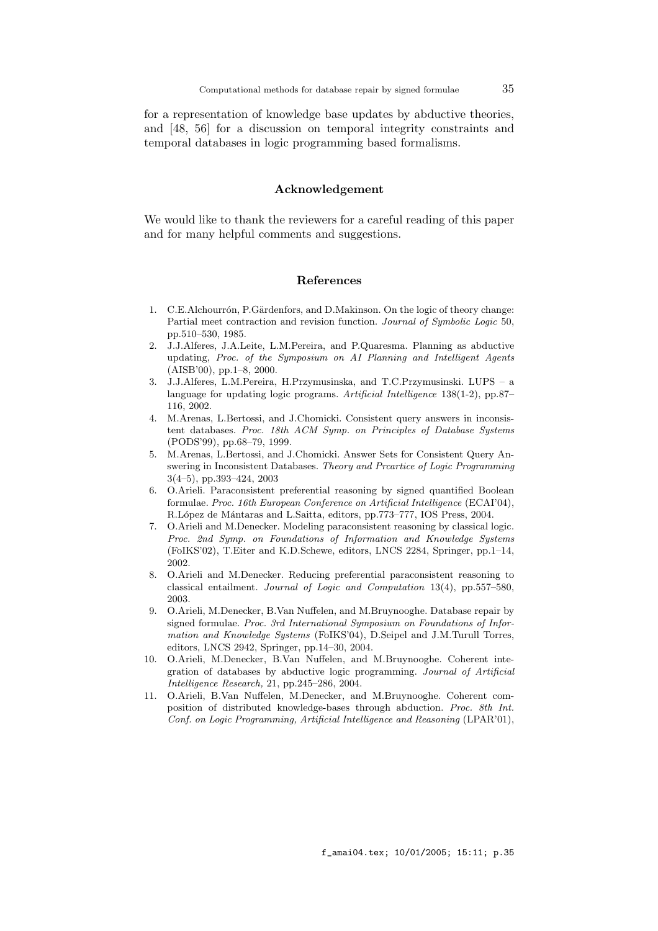for a representation of knowledge base updates by abductive theories, and [48, 56] for a discussion on temporal integrity constraints and temporal databases in logic programming based formalisms.

## Acknowledgement

We would like to thank the reviewers for a careful reading of this paper and for many helpful comments and suggestions.

## References

- 1. C.E.Alchourrón, P.Gärdenfors, and D.Makinson. On the logic of theory change: Partial meet contraction and revision function. Journal of Symbolic Logic 50, pp.510–530, 1985.
- 2. J.J.Alferes, J.A.Leite, L.M.Pereira, and P.Quaresma. Planning as abductive updating, Proc. of the Symposium on AI Planning and Intelligent Agents (AISB'00), pp.1–8, 2000.
- 3. J.J.Alferes, L.M.Pereira, H.Przymusinska, and T.C.Przymusinski. LUPS a language for updating logic programs. Artificial Intelligence 138(1-2), pp.87– 116, 2002.
- 4. M.Arenas, L.Bertossi, and J.Chomicki. Consistent query answers in inconsistent databases. Proc. 18th ACM Symp. on Principles of Database Systems (PODS'99), pp.68–79, 1999.
- 5. M.Arenas, L.Bertossi, and J.Chomicki. Answer Sets for Consistent Query Answering in Inconsistent Databases. Theory and Prcartice of Logic Programming 3(4–5), pp.393–424, 2003
- 6. O.Arieli. Paraconsistent preferential reasoning by signed quantified Boolean formulae. Proc. 16th European Conference on Artificial Intelligence (ECAI'04), R.López de Mántaras and L.Saitta, editors, pp.773–777, IOS Press, 2004.
- 7. O.Arieli and M.Denecker. Modeling paraconsistent reasoning by classical logic. Proc. 2nd Symp. on Foundations of Information and Knowledge Systems (FoIKS'02), T.Eiter and K.D.Schewe, editors, LNCS 2284, Springer, pp.1–14, 2002.
- 8. O.Arieli and M.Denecker. Reducing preferential paraconsistent reasoning to classical entailment. Journal of Logic and Computation 13(4), pp.557–580, 2003.
- 9. O.Arieli, M.Denecker, B.Van Nuffelen, and M.Bruynooghe. Database repair by signed formulae. Proc. 3rd International Symposium on Foundations of Information and Knowledge Systems (FoIKS'04), D.Seipel and J.M.Turull Torres, editors, LNCS 2942, Springer, pp.14–30, 2004.
- 10. O.Arieli, M.Denecker, B.Van Nuffelen, and M.Bruynooghe. Coherent integration of databases by abductive logic programming. Journal of Artificial Intelligence Research, 21, pp.245–286, 2004.
- 11. O.Arieli, B.Van Nuffelen, M.Denecker, and M.Bruynooghe. Coherent composition of distributed knowledge-bases through abduction. Proc. 8th Int. Conf. on Logic Programming, Artificial Intelligence and Reasoning (LPAR'01),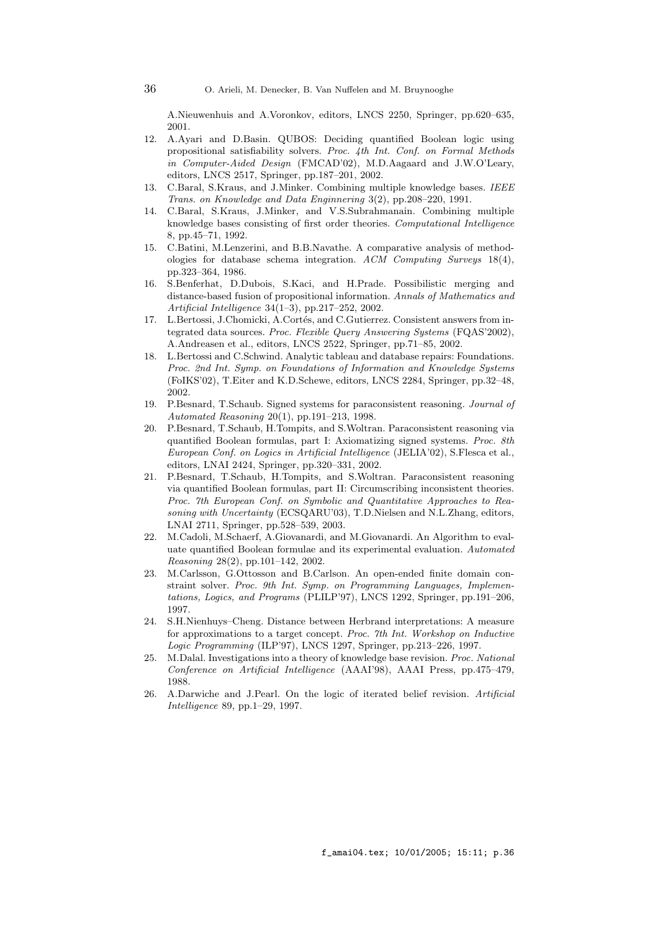A.Nieuwenhuis and A.Voronkov, editors, LNCS 2250, Springer, pp.620–635, 2001.

- 12. A.Ayari and D.Basin. QUBOS: Deciding quantified Boolean logic using propositional satisfiability solvers. Proc. 4th Int. Conf. on Formal Methods in Computer-Aided Design (FMCAD'02), M.D.Aagaard and J.W.O'Leary, editors, LNCS 2517, Springer, pp.187–201, 2002.
- 13. C.Baral, S.Kraus, and J.Minker. Combining multiple knowledge bases. IEEE Trans. on Knowledge and Data Enginnering 3(2), pp.208–220, 1991.
- 14. C.Baral, S.Kraus, J.Minker, and V.S.Subrahmanain. Combining multiple knowledge bases consisting of first order theories. Computational Intelligence 8, pp.45–71, 1992.
- 15. C.Batini, M.Lenzerini, and B.B.Navathe. A comparative analysis of methodologies for database schema integration. ACM Computing Surveys 18(4), pp.323–364, 1986.
- 16. S.Benferhat, D.Dubois, S.Kaci, and H.Prade. Possibilistic merging and distance-based fusion of propositional information. Annals of Mathematics and Artificial Intelligence 34(1–3), pp.217–252, 2002.
- 17. L.Bertossi, J.Chomicki, A.Cortés, and C.Gutierrez. Consistent answers from integrated data sources. Proc. Flexible Query Answering Systems (FQAS'2002), A.Andreasen et al., editors, LNCS 2522, Springer, pp.71–85, 2002.
- 18. L.Bertossi and C.Schwind. Analytic tableau and database repairs: Foundations. Proc. 2nd Int. Symp. on Foundations of Information and Knowledge Systems (FoIKS'02), T.Eiter and K.D.Schewe, editors, LNCS 2284, Springer, pp.32–48, 2002.
- 19. P.Besnard, T.Schaub. Signed systems for paraconsistent reasoning. Journal of Automated Reasoning 20(1), pp.191–213, 1998.
- 20. P.Besnard, T.Schaub, H.Tompits, and S.Woltran. Paraconsistent reasoning via quantified Boolean formulas, part I: Axiomatizing signed systems. Proc. 8th European Conf. on Logics in Artificial Intelligence (JELIA'02), S.Flesca et al., editors, LNAI 2424, Springer, pp.320–331, 2002.
- 21. P.Besnard, T.Schaub, H.Tompits, and S.Woltran. Paraconsistent reasoning via quantified Boolean formulas, part II: Circumscribing inconsistent theories. Proc. 7th European Conf. on Symbolic and Quantitative Approaches to Reasoning with Uncertainty (ECSQARU'03), T.D.Nielsen and N.L.Zhang, editors, LNAI 2711, Springer, pp.528–539, 2003.
- 22. M.Cadoli, M.Schaerf, A.Giovanardi, and M.Giovanardi. An Algorithm to evaluate quantified Boolean formulae and its experimental evaluation. Automated Reasoning 28(2), pp.101–142, 2002.
- 23. M.Carlsson, G.Ottosson and B.Carlson. An open-ended finite domain constraint solver. Proc. 9th Int. Symp. on Programming Languages, Implementations, Logics, and Programs (PLILP'97), LNCS 1292, Springer, pp.191–206, 1997.
- 24. S.H.Nienhuys–Cheng. Distance between Herbrand interpretations: A measure for approximations to a target concept. Proc. 7th Int. Workshop on Inductive Logic Programming (ILP'97), LNCS 1297, Springer, pp.213–226, 1997.
- 25. M.Dalal. Investigations into a theory of knowledge base revision. Proc. National Conference on Artificial Intelligence (AAAI'98), AAAI Press, pp.475–479, 1988.
- 26. A.Darwiche and J.Pearl. On the logic of iterated belief revision. Artificial Intelligence 89, pp.1–29, 1997.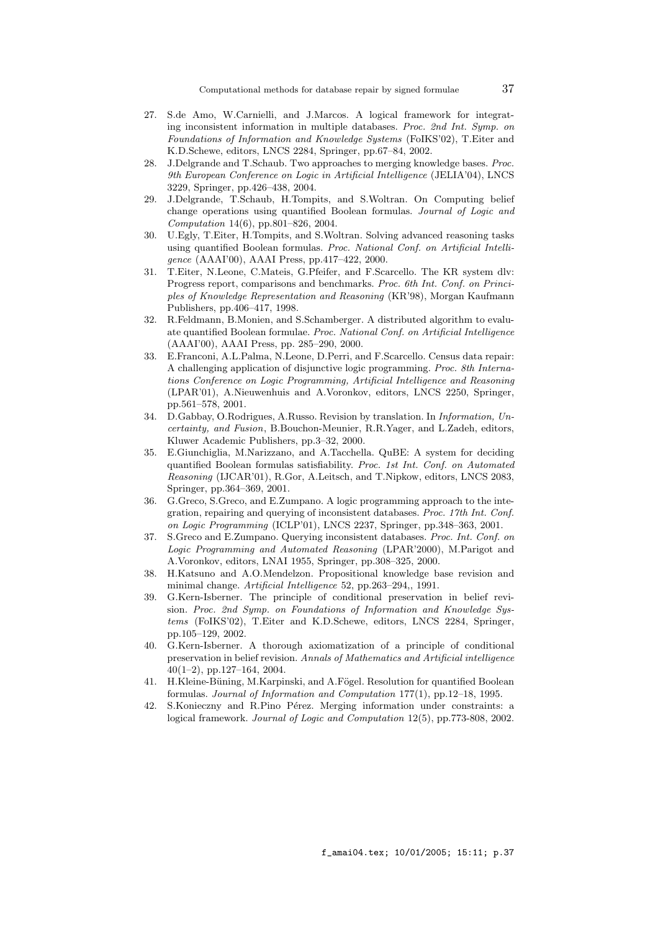- 27. S.de Amo, W.Carnielli, and J.Marcos. A logical framework for integrating inconsistent information in multiple databases. Proc. 2nd Int. Symp. on Foundations of Information and Knowledge Systems (FoIKS'02), T.Eiter and K.D.Schewe, editors, LNCS 2284, Springer, pp.67–84, 2002.
- 28. J.Delgrande and T.Schaub. Two approaches to merging knowledge bases. Proc. 9th European Conference on Logic in Artificial Intelligence (JELIA'04), LNCS 3229, Springer, pp.426–438, 2004.
- 29. J.Delgrande, T.Schaub, H.Tompits, and S.Woltran. On Computing belief change operations using quantified Boolean formulas. Journal of Logic and Computation 14(6), pp.801–826, 2004.
- 30. U.Egly, T.Eiter, H.Tompits, and S.Woltran. Solving advanced reasoning tasks using quantified Boolean formulas. Proc. National Conf. on Artificial Intelligence (AAAI'00), AAAI Press, pp.417–422, 2000.
- 31. T.Eiter, N.Leone, C.Mateis, G.Pfeifer, and F.Scarcello. The KR system dlv: Progress report, comparisons and benchmarks. Proc. 6th Int. Conf. on Principles of Knowledge Representation and Reasoning (KR'98), Morgan Kaufmann Publishers, pp.406–417, 1998.
- 32. R.Feldmann, B.Monien, and S.Schamberger. A distributed algorithm to evaluate quantified Boolean formulae. Proc. National Conf. on Artificial Intelligence (AAAI'00), AAAI Press, pp. 285–290, 2000.
- 33. E.Franconi, A.L.Palma, N.Leone, D.Perri, and F.Scarcello. Census data repair: A challenging application of disjunctive logic programming. Proc. 8th Internations Conference on Logic Programming, Artificial Intelligence and Reasoning (LPAR'01), A.Nieuwenhuis and A.Voronkov, editors, LNCS 2250, Springer, pp.561–578, 2001.
- 34. D.Gabbay, O.Rodrigues, A.Russo. Revision by translation. In Information, Uncertainty, and Fusion, B.Bouchon-Meunier, R.R.Yager, and L.Zadeh, editors, Kluwer Academic Publishers, pp.3–32, 2000.
- 35. E.Giunchiglia, M.Narizzano, and A.Tacchella. QuBE: A system for deciding quantified Boolean formulas satisfiability. Proc. 1st Int. Conf. on Automated Reasoning (IJCAR'01), R.Gor, A.Leitsch, and T.Nipkow, editors, LNCS 2083, Springer, pp.364–369, 2001.
- 36. G.Greco, S.Greco, and E.Zumpano. A logic programming approach to the integration, repairing and querying of inconsistent databases. Proc. 17th Int. Conf. on Logic Programming (ICLP'01), LNCS 2237, Springer, pp.348–363, 2001.
- 37. S.Greco and E.Zumpano. Querying inconsistent databases. Proc. Int. Conf. on Logic Programming and Automated Reasoning (LPAR'2000), M.Parigot and A.Voronkov, editors, LNAI 1955, Springer, pp.308–325, 2000.
- 38. H.Katsuno and A.O.Mendelzon. Propositional knowledge base revision and minimal change. Artificial Intelligence 52, pp.263–294,, 1991.
- 39. G.Kern-Isberner. The principle of conditional preservation in belief revision. Proc. 2nd Symp. on Foundations of Information and Knowledge Systems (FoIKS'02), T.Eiter and K.D.Schewe, editors, LNCS 2284, Springer, pp.105–129, 2002.
- 40. G.Kern-Isberner. A thorough axiomatization of a principle of conditional preservation in belief revision. Annals of Mathematics and Artificial intelligence 40(1–2), pp.127–164, 2004.
- 41. H.Kleine-Büning, M.Karpinski, and A.Fögel. Resolution for quantified Boolean formulas. Journal of Information and Computation 177(1), pp.12–18, 1995.
- 42. S.Konieczny and R.Pino Pérez. Merging information under constraints: a logical framework. Journal of Logic and Computation 12(5), pp.773-808, 2002.